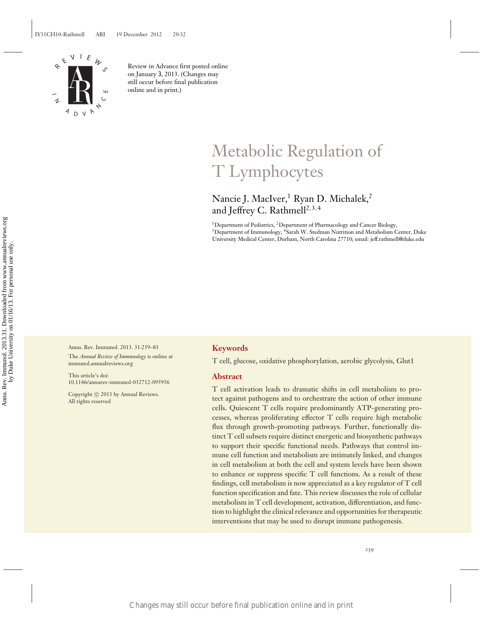

Review in Advance first posted online on January 3, 2013. (Changes may still occur before final publication online and in print.)

# Metabolic Regulation of T Lymphocytes

## Nancie J. MacIver,<sup>1</sup> Ryan D. Michalek,<sup>2</sup> and Jeffrey C. Rathmell<sup>2, 3, 4</sup>

<sup>1</sup>Department of Pediatrics, <sup>2</sup>Department of Pharmacology and Cancer Biology,  $3$ Department of Immunology,  $4$ Sarah W. Stedman Nutrition and Metabolism Center, Duke University Medical Center, Durham, North Carolina 27710; email: jeff.rathmell@duke.edu

Annu. Rev. Immunol. 2013. 31:259–83 The *Annual Review of Immunology* is online at immunol.annualreviews.org

This article's doi: 10.1146/annurev-immunol-032712-095956

Copyright © 2013 by Annual Reviews. All rights reserved

## **Keywords**

T cell, glucose, oxidative phosphorylation, aerobic glycolysis, Glut1

## **Abstract**

T cell activation leads to dramatic shifts in cell metabolism to protect against pathogens and to orchestrate the action of other immune cells. Quiescent T cells require predominantly ATP-generating processes, whereas proliferating effector T cells require high metabolic flux through growth-promoting pathways. Further, functionally distinct T cell subsets require distinct energetic and biosynthetic pathways to support their specific functional needs. Pathways that control immune cell function and metabolism are intimately linked, and changes in cell metabolism at both the cell and system levels have been shown to enhance or suppress specific T cell functions. As a result of these findings, cell metabolism is now appreciated as a key regulator of T cell function specification and fate. This review discusses the role of cellular metabolism in T cell development, activation, differentiation, and function to highlight the clinical relevance and opportunities for therapeutic interventions that may be used to disrupt immune pathogenesis. Changes may still occur before final publication online and in print<br>
Changes may still occur before final publication online and in print<br>
Figure 2013.31. Downloaded from www.annual University of the Changes of the Change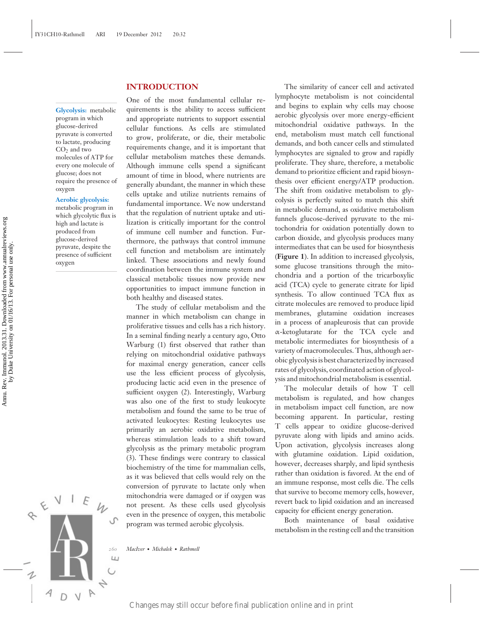## **INTRODUCTION**

One of the most fundamental cellular requirements is the ability to access sufficient and appropriate nutrients to support essential cellular functions. As cells are stimulated to grow, proliferate, or die, their metabolic requirements change, and it is important that cellular metabolism matches these demands. Although immune cells spend a significant amount of time in blood, where nutrients are generally abundant, the manner in which these cells uptake and utilize nutrients remains of fundamental importance. We now understand that the regulation of nutrient uptake and utilization is critically important for the control of immune cell number and function. Furthermore, the pathways that control immune cell function and metabolism are intimately linked. These associations and newly found coordination between the immune system and classical metabolic tissues now provide new opportunities to impact immune function in

**Glycolysis:** metabolic program in which glucose-derived pyruvate is converted to lactate, producing  $CO<sub>2</sub>$  and two molecules of ATP for every one molecule of glucose; does not require the presence of oxygen

## **Aerobic glycolysis:**

metabolic program in which glycolytic flux is high and lactate is produced from glucose-derived pyruvate, despite the presence of sufficient oxygen

proliferative tissues and cells has a rich history. In a seminal finding nearly a century ago, Otto Warburg (1) first observed that rather than relying on mitochondrial oxidative pathways for maximal energy generation, cancer cells use the less efficient process of glycolysis, producing lactic acid even in the presence of sufficient oxygen (2). Interestingly, Warburg was also one of the first to study leukocyte metabolism and found the same to be true of activated leukocytes: Resting leukocytes use primarily an aerobic oxidative metabolism, whereas stimulation leads to a shift toward glycolysis as the primary metabolic program (3). These findings were contrary to classical biochemistry of the time for mammalian cells, as it was believed that cells would rely on the conversion of pyruvate to lactate only when mitochondria were damaged or if oxygen was not present. As these cells used glycolysis even in the presence of oxygen, this metabolic program was termed aerobic glycolysis. Experiment the three control times in the control times are control times and operators. A publisation of the material control times and control times are control times and any formulation on distant  $\frac{1}{2}$  presents. A

both healthy and diseased states.

The study of cellular metabolism and the manner in which metabolism can change in

The similarity of cancer cell and activated lymphocyte metabolism is not coincidental and begins to explain why cells may choose aerobic glycolysis over more energy-efficient mitochondrial oxidative pathways. In the end, metabolism must match cell functional demands, and both cancer cells and stimulated lymphocytes are signaled to grow and rapidly proliferate. They share, therefore, a metabolic demand to prioritize efficient and rapid biosynthesis over efficient energy/ATP production. The shift from oxidative metabolism to glycolysis is perfectly suited to match this shift in metabolic demand, as oxidative metabolism funnels glucose-derived pyruvate to the mitochondria for oxidation potentially down to carbon dioxide, and glycolysis produces many intermediates that can be used for biosynthesis (**Figure 1**). In addition to increased glycolysis, some glucose transitions through the mitochondria and a portion of the tricarboxylic acid (TCA) cycle to generate citrate for lipid synthesis. To allow continued TCA flux as citrate molecules are removed to produce lipid membranes, glutamine oxidation increases in a process of anapleurosis that can provide α-ketoglutarate for the TCA cycle and metabolic intermediates for biosynthesis of a variety of macromolecules. Thus, although aerobic glycolysis is best characterized by increased rates of glycolysis, coordinated action of glycolysis and mitochondrial metabolism is essential.

The molecular details of how T cell metabolism is regulated, and how changes in metabolism impact cell function, are now becoming apparent. In particular, resting T cells appear to oxidize glucose-derived pyruvate along with lipids and amino acids. Upon activation, glycolysis increases along with glutamine oxidation. Lipid oxidation, however, decreases sharply, and lipid synthesis rather than oxidation is favored. At the end of an immune response, most cells die. The cells that survive to become memory cells, however, revert back to lipid oxidation and an increased capacity for efficient energy generation.

Both maintenance of basal oxidative metabolism in the resting cell and the transition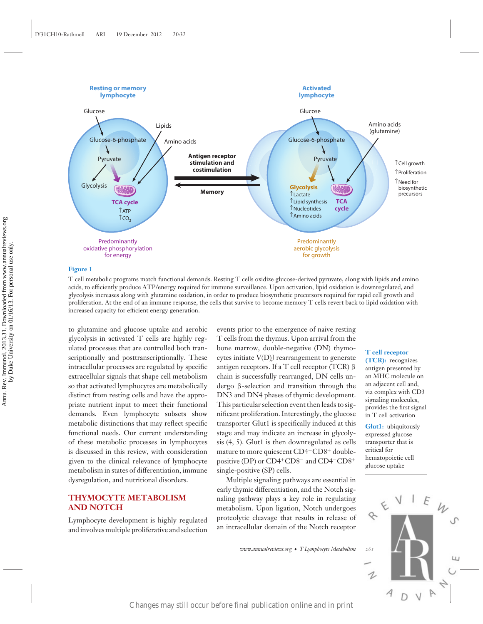

T cell metabolic programs match functional demands. Resting T cells oxidize glucose-derived pyruvate, along with lipids and amino acids, to efficiently produce ATP/energy required for immune surveillance. Upon activation, lipid oxidation is downregulated, and glycolysis increases along with glutamine oxidation, in order to produce biosynthetic precursors required for rapid cell growth and proliferation. At the end of an immune response, the cells that survive to become memory T cells revert back to lipid oxidation with increased capacity for efficient energy generation.

to glutamine and glucose uptake and aerobic glycolysis in activated T cells are highly regulated processes that are controlled both transcriptionally and posttranscriptionally. These intracellular processes are regulated by specific extracellular signals that shape cell metabolism so that activated lymphocytes are metabolically distinct from resting cells and have the appropriate nutrient input to meet their functional demands. Even lymphocyte subsets show metabolic distinctions that may reflect specific functional needs. Our current understanding of these metabolic processes in lymphocytes is discussed in this review, with consideration given to the clinical relevance of lymphocyte metabolism in states of differentiation, immune dysregulation, and nutritional disorders. Changes may still occur before final publication of the changes may still occur before final publication online and in print  $\frac{1}{2}$  contained from www.annuallelinal publication of the changes may still online and in pr

## **THYMOCYTE METABOLISM AND NOTCH**

Lymphocyte development is highly regulated and involves multiple proliferative and selection

events prior to the emergence of naive resting T cells from the thymus. Upon arrival from the bone marrow, double-negative (DN) thymocytes initiate V(D)J rearrangement to generate antigen receptors. If a T cell receptor (TCR) β chain is successfully rearranged, DN cells undergo β-selection and transition through the DN3 and DN4 phases of thymic development. This particular selection event then leads to significant proliferation. Interestingly, the glucose transporter Glut1 is specifically induced at this stage and may indicate an increase in glycolysis (4, 5). Glut1 is then downregulated as cells mature to more quiescent CD4+CD8+ doublepositive (DP) or CD4+CD8<sup>−</sup> and CD4−CD8<sup>+</sup> single-positive (SP) cells.

Multiple signaling pathways are essential in early thymic differentiation, and the Notch signaling pathway plays a key role in regulating metabolism. Upon ligation, Notch undergoes proteolytic cleavage that results in release of an intracellular domain of the Notch receptor

*www.annualreviews.org* • *T Lymphocyte Metabolism 261*

#### **T cell receptor**

**(TCR):** recognizes antigen presented by an MHC molecule on an adjacent cell and, via complex with CD3 signaling molecules, provides the first signal in T cell activation

**Glut1:** ubiquitously expressed glucose transporter that is critical for hematopoietic cell glucose uptake

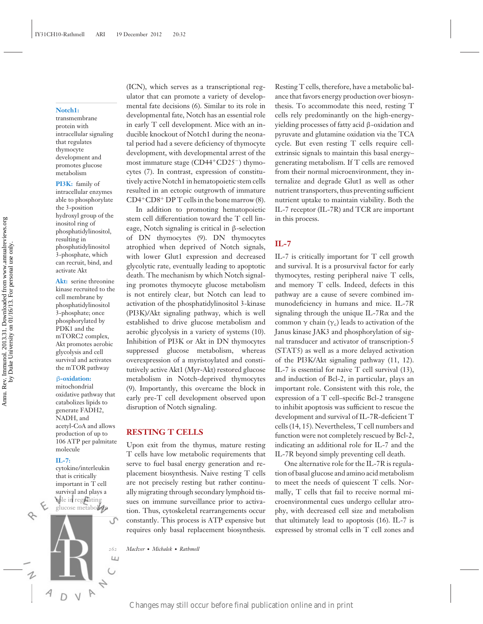#### **Notch1:**

transmembrane protein with intracellular signaling that regulates thymocyte development and promotes glucose metabolism

**PI3K:** family of intracellular enzymes able to phosphorylate the 3-position hydroxyl group of the inositol ring of phosphatidylinositol, resulting in phosphatidylinositol 3-phosphate, which can recruit, bind, and activate Akt

**Akt:** serine threonine kinase recruited to the cell membrane by phosphatidylinositol 3-phosphate; once phosphorylated by PDK1 and the mTORC2 complex, Akt promotes aerobic glycolysis and cell survival and activates the mTOR pathway

#### β**-oxidation:**

mitochondrial oxidative pathway that catabolizes lipids to generate FADH2, NADH, and acetyl-CoA and allows production of up to 106 ATP per palmitate molecule

#### **IL-7:**

cytokine/interleukin that is critically important in T cell survival and plays a role in regulating glucose metabolism



(ICN), which serves as a transcriptional regulator that can promote a variety of developmental fate decisions (6). Similar to its role in developmental fate, Notch has an essential role in early T cell development. Mice with an inducible knockout of Notch1 during the neonatal period had a severe deficiency of thymocyte development, with developmental arrest of the most immature stage (CD44+CD25−) thymocytes (7). In contrast, expression of constitutively active Notch1 in hematopoietic stem cells resulted in an ectopic outgrowth of immature CD4+CD8<sup>+</sup> DP T cells in the bone marrow (8).

In addition to promoting hematopoietic stem cell differentiation toward the T cell lineage, Notch signaling is critical in β-selection of DN thymocytes (9). DN thymocytes atrophied when deprived of Notch signals, with lower Glut1 expression and decreased glycolytic rate, eventually leading to apoptotic death. The mechanism by which Notch signaling promotes thymocyte glucose metabolism is not entirely clear, but Notch can lead to activation of the phosphatidylinositol 3-kinase (PI3K)/Akt signaling pathway, which is well established to drive glucose metabolism and aerobic glycolysis in a variety of systems (10). Inhibition of PI3K or Akt in DN thymocytes suppressed glucose metabolism, whereas overexpression of a myristoylated and constitutively active Akt1 (Myr-Akt) restored glucose metabolism in Notch-deprived thymocytes (9). Importantly, this overcame the block in early pre-T cell development observed upon disruption of Notch signaling. Example 16. The model and interaction of the colline and in the state of the model and in the state of the colline and interaction of the state of the state of the state of the state of the state of the state of the state

#### **RESTING T CELLS**

Upon exit from the thymus, mature resting T cells have low metabolic requirements that serve to fuel basal energy generation and replacement biosynthesis. Naive resting T cells are not precisely resting but rather continually migrating through secondary lymphoid tissues on immune surveillance prior to activation. Thus, cytoskeletal rearrangements occur constantly. This process is ATP expensive but requires only basal replacement biosynthesis.

*262 MacIver* · *Michalek* · *Rathmell*

Resting T cells, therefore, have a metabolic balance that favors energy production over biosynthesis. To accommodate this need, resting T cells rely predominantly on the high-energyyielding processes of fatty acid β-oxidation and pyruvate and glutamine oxidation via the TCA cycle. But even resting T cells require cellextrinsic signals to maintain this basal energy– generating metabolism. If T cells are removed from their normal microenvironment, they internalize and degrade Glut1 as well as other nutrient transporters, thus preventing sufficient nutrient uptake to maintain viability. Both the IL-7 receptor (IL-7R) and TCR are important in this process.

## **IL-7**

IL-7 is critically important for T cell growth and survival. It is a prosurvival factor for early thymocytes, resting peripheral naive T cells, and memory T cells. Indeed, defects in this pathway are a cause of severe combined immunodeficiency in humans and mice. IL-7R signaling through the unique IL-7Rα and the common  $\gamma$  chain ( $\gamma$ <sub>c</sub>) leads to activation of the Janus kinase JAK3 and phosphorylation of signal transducer and activator of transcription-5 (STAT5) as well as a more delayed activation of the PI3K/Akt signaling pathway (11, 12). IL-7 is essential for naive T cell survival (13), and induction of Bcl-2, in particular, plays an important role. Consistent with this role, the expression of a T cell–specific Bcl-2 transgene to inhibit apoptosis was sufficient to rescue the development and survival of IL-7R-deficient T cells (14, 15). Nevertheless, T cell numbers and function were not completely rescued by Bcl-2, indicating an additional role for IL-7 and the IL-7R beyond simply preventing cell death.

One alternative role for the IL-7R is regulation of basal glucose and amino acid metabolism to meet the needs of quiescent T cells. Normally, T cells that fail to receive normal microenvironmental cues undergo cellular atrophy, with decreased cell size and metabolism that ultimately lead to apoptosis (16). IL-7 is expressed by stromal cells in T cell zones and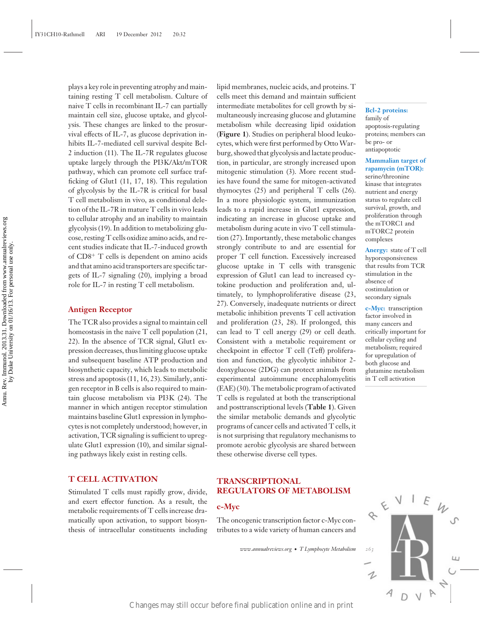plays a key role in preventing atrophy and maintaining resting T cell metabolism. Culture of naive T cells in recombinant IL-7 can partially maintain cell size, glucose uptake, and glycolysis. These changes are linked to the prosurvival effects of IL-7, as glucose deprivation inhibits IL-7-mediated cell survival despite Bcl-2 induction (11). The IL-7R regulates glucose uptake largely through the PI3K/Akt/mTOR pathway, which can promote cell surface trafficking of Glut1 (11, 17, 18). This regulation of glycolysis by the IL-7R is critical for basal T cell metabolism in vivo, as conditional deletion of the IL-7R in mature T cells in vivo leads to cellular atrophy and an inability to maintain glycolysis (19). In addition to metabolizing glucose, resting T cells oxidize amino acids, and recent studies indicate that IL-7-induced growth of CD8<sup>+</sup> T cells is dependent on amino acids and that amino acid transporters are specific targets of IL-7 signaling (20), implying a broad role for IL-7 in resting T cell metabolism.

#### **Antigen Receptor**

The TCR also provides a signal to maintain cell homeostasis in the naive T cell population (21, 22). In the absence of TCR signal, Glut1 expression decreases, thus limiting glucose uptake and subsequent baseline ATP production and biosynthetic capacity, which leads to metabolic stress and apoptosis (11, 16, 23). Similarly, antigen receptor in B cells is also required to maintain glucose metabolism via PI3K (24). The manner in which antigen receptor stimulation maintains baseline Glut1 expression in lymphocytes is not completely understood; however, in activation, TCR signaling is sufficient to upregulate Glut1 expression (10), and similar signaling pathways likely exist in resting cells.

## **T CELL ACTIVATION**

Stimulated T cells must rapidly grow, divide, and exert effector function. As a result, the metabolic requirements of T cells increase dramatically upon activation, to support biosynthesis of intracellular constituents including

lipid membranes, nucleic acids, and proteins. T cells meet this demand and maintain sufficient intermediate metabolites for cell growth by simultaneously increasing glucose and glutamine metabolism while decreasing lipid oxidation (**Figure 1**). Studies on peripheral blood leukocytes, which were first performed by Otto Warburg, showed that glycolysis and lactate production, in particular, are strongly increased upon mitogenic stimulation (3). More recent studies have found the same for mitogen-activated thymocytes (25) and peripheral T cells (26). In a more physiologic system, immunization leads to a rapid increase in Glut1 expression, indicating an increase in glucose uptake and metabolism during acute in vivo T cell stimulation (27). Importantly, these metabolic changes strongly contribute to and are essential for proper T cell function. Excessively increased glucose uptake in T cells with transgenic expression of Glut1 can lead to increased cytokine production and proliferation and, ultimately, to lymphoproliferative disease (23, 27). Conversely, inadequate nutrients or direct metabolic inhibition prevents T cell activation and proliferation (23, 28). If prolonged, this can lead to T cell anergy (29) or cell death. Consistent with a metabolic requirement or checkpoint in effector T cell (Teff) proliferation and function, the glycolytic inhibitor 2 deoxyglucose (2DG) can protect animals from experimental autoimmune encephalomyelitis (EAE) (30). The metabolic program of activated T cells is regulated at both the transcriptional and posttranscriptional levels (**Table 1**). Given the similar metabolic demands and glycolytic programs of cancer cells and activated T cells, it is not surprising that regulatory mechanisms to promote aerobic glycolysis are shared between these otherwise diverse cell types. Example the station of matching the matches may still occur before final publication online and in princ and in the station of  $(7)$ . Improvemently, these and<br>other than the station online and in the station of  $(7)$  and

## **TRANSCRIPTIONAL REGULATORS OF METABOLISM**

## **c-Myc**

The oncogenic transcription factor c-Myc contributes to a wide variety of human cancers and

*www.annualreviews.org* • *T Lymphocyte Metabolism 263*

#### **Bcl-2 proteins:** family of apoptosis-regulating proteins; members can be pro- or antiapoptotic

### **Mammalian target of rapamycin (mTOR):**

serine/threonine kinase that integrates nutrient and energy status to regulate cell survival, growth, and proliferation through the mTORC1 and mTORC2 protein complexes

**Anergy:** state of T cell hyporesponsiveness that results from TCR stimulation in the absence of costimulation or secondary signals

**c-Myc:** transcription factor involved in many cancers and critically important for cellular cycling and metabolism; required for upregulation of both glucose and glutamine metabolism in T cell activation

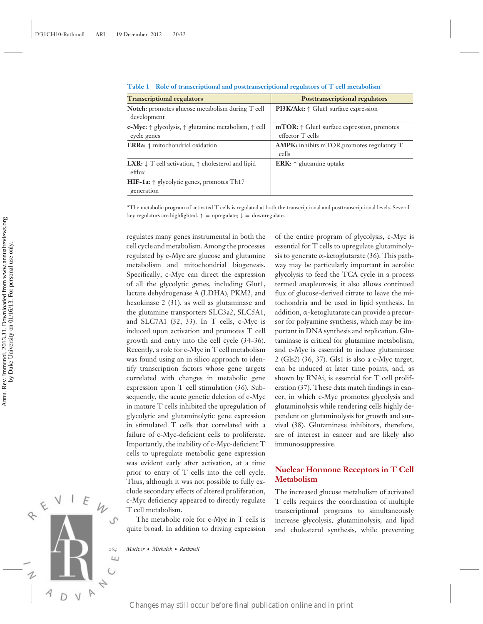| <b>Transcriptional regulators</b>                                                                    | <b>Posttranscriptional regulators</b>                                   |
|------------------------------------------------------------------------------------------------------|-------------------------------------------------------------------------|
| <b>Notch:</b> promotes glucose metabolism during T cell<br>development                               | <b>PI3K/Akt:</b> $\uparrow$ Glut1 surface expression                    |
| <b>c-Myc:</b> $\uparrow$ glycolysis, $\uparrow$ glutamine metabolism, $\uparrow$ cell<br>cycle genes | $mTOR: \uparrow$ Glut1 surface expression, promotes<br>effector T cells |
| <b>ERRa:</b> $\uparrow$ mitochondrial oxidation                                                      | <b>AMPK:</b> inhibits mTOR, promotes regulatory T<br>cells              |
| <b>LXR:</b> $\downarrow$ T cell activation, $\uparrow$ cholesterol and lipid<br>efflux               | <b>ERK:</b> $\uparrow$ glutamine uptake                                 |
| <b>HIF-1a:</b> $\uparrow$ glycolytic genes, promotes Th17<br>generation                              |                                                                         |

**Table 1 Role of transcriptional and posttranscriptional regulators of T cell metabolism**<sup>a</sup>

<sup>a</sup>The metabolic program of activated T cells is regulated at both the transcriptional and posttranscriptional levels. Several key regulators are highlighted.  $\uparrow$  = upregulate;  $\downarrow$  = downregulate.

regulates many genes instrumental in both the cell cycle and metabolism. Among the processes regulated by c-Myc are glucose and glutamine metabolism and mitochondrial biogenesis. Specifically, c-Myc can direct the expression of all the glycolytic genes, including Glut1, lactate dehydrogenase A (LDHA), PKM2, and hexokinase 2 (31), as well as glutaminase and the glutamine transporters SLC3a2, SLC5A1, and SLC7A1 (32, 33). In T cells, c-Myc is induced upon activation and promotes T cell growth and entry into the cell cycle (34–36). Recently, a role for c-Myc in T cell metabolism was found using an in silico approach to identify transcription factors whose gene targets correlated with changes in metabolic gene expression upon T cell stimulation (36). Subsequently, the acute genetic deletion of c-Myc in mature T cells inhibited the upregulation of glycolytic and glutaminolytic gene expression in stimulated T cells that correlated with a failure of c-Myc-deficient cells to proliferate. Importantly, the inability of c-Myc-deficient T cells to upregulate metabolic gene expression was evident early after activation, at a time prior to entry of T cells into the cell cycle. Thus, although it was not possible to fully exclude secondary effects of altered proliferation, c-Myc deficiency appeared to directly regulate T cell metabolism. Figure 12. The condition of the control publication of the control publication of the control publication of the control publication of the control publication of the control publication of the control publication of the

The metabolic role for c-Myc in T cells is quite broad. In addition to driving expression

*264 MacIver* · *Michalek* · *Rathmell*

of the entire program of glycolysis, c-Myc is essential for T cells to upregulate glutaminolysis to generate  $\alpha$ -ketoglutarate (36). This pathway may be particularly important in aerobic glycolysis to feed the TCA cycle in a process termed anapleurosis; it also allows continued flux of glucose-derived citrate to leave the mitochondria and be used in lipid synthesis. In addition, α-ketoglutarate can provide a precursor for polyamine synthesis, which may be important in DNA synthesis and replication. Glutaminase is critical for glutamine metabolism, and c-Myc is essential to induce glutaminase 2 (Gls2) (36, 37). Gls1 is also a c-Myc target, can be induced at later time points, and, as shown by RNAi, is essential for T cell proliferation (37). These data match findings in cancer, in which c-Myc promotes glycolysis and glutaminolysis while rendering cells highly dependent on glutaminolysis for growth and survival (38). Glutaminase inhibitors, therefore, are of interest in cancer and are likely also immunosuppressive.

## **Nuclear Hormone Receptors in T Cell Metabolism**

The increased glucose metabolism of activated T cells requires the coordination of multiple transcriptional programs to simultaneously increase glycolysis, glutaminolysis, and lipid and cholesterol synthesis, while preventing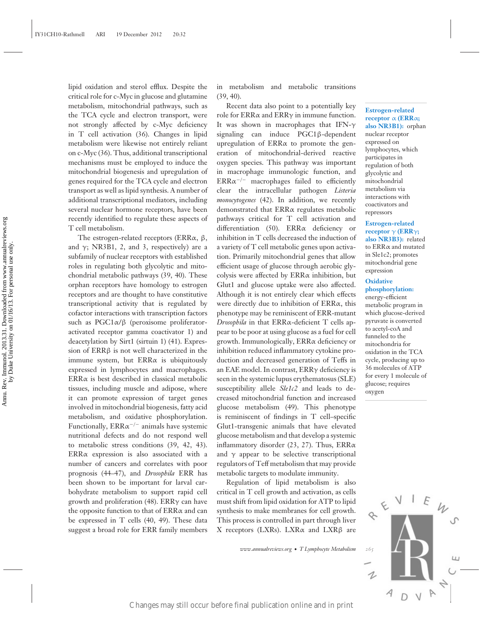lipid oxidation and sterol efflux. Despite the critical role for c-Myc in glucose and glutamine metabolism, mitochondrial pathways, such as the TCA cycle and electron transport, were not strongly affected by c-Myc deficiency in T cell activation (36). Changes in lipid metabolism were likewise not entirely reliant on c-Myc (36). Thus, additional transcriptional mechanisms must be employed to induce the mitochondrial biogenesis and upregulation of genes required for the TCA cycle and electron transport as well as lipid synthesis. A number of additional transcriptional mediators, including several nuclear hormone receptors, have been recently identified to regulate these aspects of T cell metabolism.

The estrogen-related receptors (ERRα, β, and  $\gamma$ ; NR3B1, 2, and 3, respectively) are a subfamily of nuclear receptors with established roles in regulating both glycolytic and mitochondrial metabolic pathways (39, 40). These orphan receptors have homology to estrogen receptors and are thought to have constitutive transcriptional activity that is regulated by cofactor interactions with transcription factors such as PGC1α/β (peroxisome proliferatoractivated receptor gamma coactivator 1) and deacetylation by Sirt1 (sirtuin 1) (41). Expression of ERRβ is not well characterized in the immune system, but  $ERR\alpha$  is ubiquitously expressed in lymphocytes and macrophages. ERRα is best described in classical metabolic tissues, including muscle and adipose, where it can promote expression of target genes involved in mitochondrial biogenesis, fatty acid metabolism, and oxidative phosphorylation. Functionally, ERR $\alpha$ <sup>-/-</sup> animals have systemic nutritional defects and do not respond well to metabolic stress conditions (39, 42, 43). ERRα expression is also associated with a number of cancers and correlates with poor prognosis (44–47), and *Drosophila* ERR has been shown to be important for larval carbohydrate metabolism to support rapid cell growth and proliferation (48). ERRγ can have the opposite function to that of ERRα and can be expressed in T cells (40, 49). These data suggest a broad role for ERR family members Excany statements on public or a maximum and red. Excapt the interest of the density and in production and red. Exception of the density of the statement of the statement of the statement of the statement of the statement

in metabolism and metabolic transitions (39, 40).

Recent data also point to a potentially key role for ERRα and ERRγ in immune function. It was shown in macrophages that IFN-γ signaling can induce PGC1β-dependent upregulation of ERRα to promote the generation of mitochondrial-derived reactive oxygen species. This pathway was important in macrophage immunologic function, and ERRα−/<sup>−</sup> macrophages failed to efficiently clear the intracellular pathogen *Listeria monocytogenes* (42). In addition, we recently demonstrated that ERRα regulates metabolic pathways critical for T cell activation and differentiation (50). ERRα deficiency or inhibition in T cells decreased the induction of a variety of T cell metabolic genes upon activation. Primarily mitochondrial genes that allow efficient usage of glucose through aerobic glycolysis were affected by ERRα inhibition, but Glut1 and glucose uptake were also affected. Although it is not entirely clear which effects were directly due to inhibition of ERRα, this phenotype may be reminiscent of ERR-mutant *Drosophila* in that ERRα-deficient T cells appear to be poor at using glucose as a fuel for cell growth. Immunologically, ERRα deficiency or inhibition reduced inflammatory cytokine production and decreased generation of Teffs in an EAE model. In contrast, ERRγ deficiency is seen in the systemic lupus erythematosus (SLE) susceptibility allele *Sle1c2* and leads to decreased mitochondrial function and increased glucose metabolism (49). This phenotype is reminiscent of findings in T cell–specific Glut1-transgenic animals that have elevated glucose metabolism and that develop a systemic inflammatory disorder (23, 27). Thus, ERRα and  $\gamma$  appear to be selective transcriptional regulators of Teff metabolism that may provide metabolic targets to modulate immunity.

Regulation of lipid metabolism is also critical in T cell growth and activation, as cells must shift from lipid oxidation for ATP to lipid synthesis to make membranes for cell growth. This process is controlled in part through liver X receptors (LXRs). LXRα and LXRβ are

*www.annualreviews.org* • *T Lymphocyte Metabolism 265*

#### **Estrogen-related receptor** α **(ERR**α**; also NR3B1):** orphan nuclear receptor expressed on lymphocytes, which participates in regulation of both glycolytic and mitochondrial metabolism via interactions with coactivators and

**Estrogen-related receptor** γ **(ERR**γ**; also NR3B3):** related to ERRα and mutated in Sle1c2; promotes mitochondrial gene expression

#### **Oxidative phosphorylation:**

repressors

energy-efficient metabolic program in which glucose-derived pyruvate is converted to acetyl-coA and funneled to the mitochondria for oxidation in the TCA cycle, producing up to 36 molecules of ATP for every 1 molecule of glucose; requires oxygen

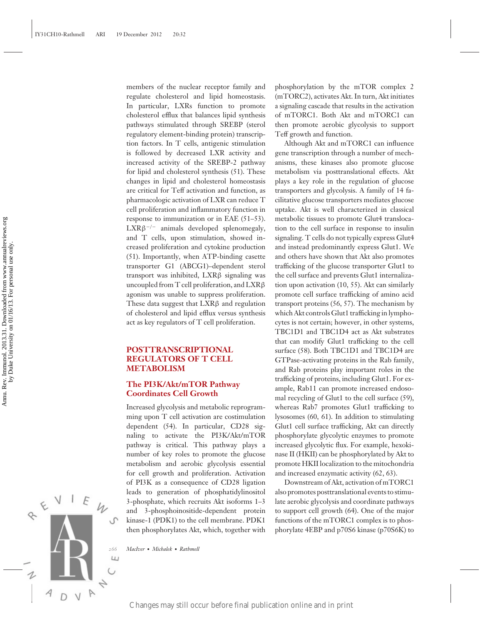members of the nuclear receptor family and regulate cholesterol and lipid homeostasis. In particular, LXRs function to promote cholesterol efflux that balances lipid synthesis pathways stimulated through SREBP (sterol regulatory element-binding protein) transcription factors. In T cells, antigenic stimulation is followed by decreased LXR activity and increased activity of the SREBP-2 pathway for lipid and cholesterol synthesis (51). These changes in lipid and cholesterol homeostasis are critical for Teff activation and function, as pharmacologic activation of LXR can reduce T cell proliferation and inflammatory function in response to immunization or in EAE (51–53).  $LXR\beta^{-/-}$  animals developed splenomegaly, and T cells, upon stimulation, showed increased proliferation and cytokine production (51). Importantly, when ATP-binding casette transporter G1 (ABCG1)–dependent sterol transport was inhibited, LXRβ signaling was uncoupled from T cell proliferation, and LXRβ agonism was unable to suppress proliferation. These data suggest that LXRβ and regulation of cholesterol and lipid efflux versus synthesis act as key regulators of T cell proliferation.

## **POSTTRANSCRIPTIONAL REGULATORS OF T CELL METABOLISM**

## **The PI3K/Akt/mTOR Pathway Coordinates Cell Growth**

Increased glycolysis and metabolic reprogramming upon T cell activation are costimulation dependent (54). In particular, CD28 signaling to activate the PI3K/Akt/mTOR pathway is critical. This pathway plays a number of key roles to promote the glucose metabolism and aerobic glycolysis essential for cell growth and proliferation. Activation of PI3K as a consequence of CD28 ligation leads to generation of phosphatidylinositol 3-phosphate, which recruits Akt isoforms 1–3 and 3-phosphoinositide-dependent protein kinase-1 (PDK1) to the cell membrane. PDK1 then phosphorylates Akt, which, together with

*266 MacIver* · *Michalek* · *Rathmell*

phosphorylation by the mTOR complex 2 (mTORC2), activates Akt. In turn, Akt initiates a signaling cascade that results in the activation of mTORC1. Both Akt and mTORC1 can then promote aerobic glycolysis to support Teff growth and function.

Although Akt and mTORC1 can influence gene transcription through a number of mechanisms, these kinases also promote glucose metabolism via posttranslational effects. Akt plays a key role in the regulation of glucose transporters and glycolysis. A family of 14 facilitative glucose transporters mediates glucose uptake. Akt is well characterized in classical metabolic tissues to promote Glut4 translocation to the cell surface in response to insulin signaling. T cells do not typically express Glut4 and instead predominantly express Glut1. We and others have shown that Akt also promotes trafficking of the glucose transporter Glut1 to the cell surface and prevents Glut1 internalization upon activation (10, 55). Akt can similarly promote cell surface trafficking of amino acid transport proteins (56, 57). The mechanism by which Akt controls Glut1 trafficking in lymphocytes is not certain; however, in other systems, TBC1D1 and TBC1D4 act as Akt substrates that can modify Glut1 trafficking to the cell surface (58). Both TBC1D1 and TBC1D4 are GTPase-activating proteins in the Rab family, and Rab proteins play important roles in the trafficking of proteins, including Glut1. For example, Rab11 can promote increased endosomal recycling of Glut1 to the cell surface (59), whereas Rab7 promotes Glut1 trafficking to lysosomes (60, 61). In addition to stimulating Glut1 cell surface trafficking, Akt can directly phosphorylate glycolytic enzymes to promote increased glycolytic flux. For example, hexokinase II (HKII) can be phosphorylated by Akt to promote HKII localization to the mitochondria and increased enzymatic activity (62, 63). Equals or in multipartication online and in the still of the system and in print Annual power in the signal case of the system of the system of the system of the system of the system of the system of the system of the sys

Downstream of Akt, activation of mTORC1 also promotes posttranslational events to stimulate aerobic glycolysis and coordinate pathways to support cell growth (64). One of the major functions of the mTORC1 complex is to phosphorylate 4EBP and p70S6 kinase (p70S6K) to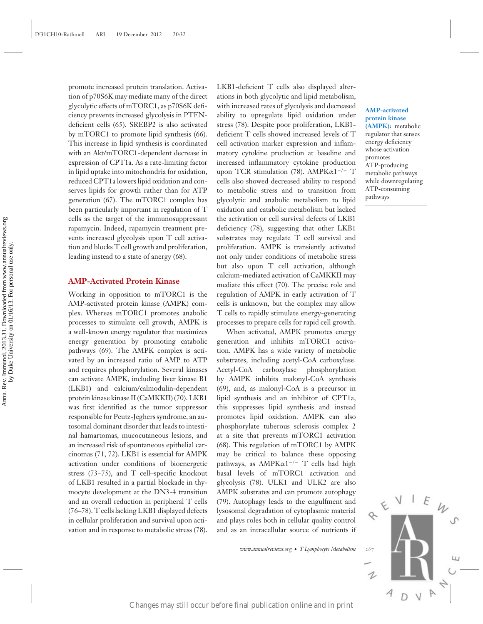promote increased protein translation. Activation of p70S6K may mediate many of the direct glycolytic effects of mTORC1, as p70S6K deficiency prevents increased glycolysis in PTENdeficient cells (65). SREBP2 is also activated by mTORC1 to promote lipid synthesis (66). This increase in lipid synthesis is coordinated with an Akt/mTORC1-dependent decrease in expression of CPT1a. As a rate-limiting factor in lipid uptake into mitochondria for oxidation, reduced CPT1a lowers lipid oxidation and conserves lipids for growth rather than for ATP generation (67). The mTORC1 complex has been particularly important in regulation of T cells as the target of the immunosuppressant rapamycin. Indeed, rapamycin treatment prevents increased glycolysis upon T cell activation and blocks T cell growth and proliferation, leading instead to a state of anergy (68).

#### **AMP-Activated Protein Kinase**

Working in opposition to mTORC1 is the AMP-activated protein kinase (AMPK) complex. Whereas mTORC1 promotes anabolic processes to stimulate cell growth, AMPK is a well-known energy regulator that maximizes energy generation by promoting catabolic pathways (69). The AMPK complex is activated by an increased ratio of AMP to ATP and requires phosphorylation. Several kinases can activate AMPK, including liver kinase B1 (LKB1) and calcium/calmodulin-dependent protein kinase kinase II (CaMKKII) (70). LKB1 was first identified as the tumor suppressor responsible for Peutz-Jeghers syndrome, an autosomal dominant disorder that leads to intestinal hamartomas, mucocutaneous lesions, and an increased risk of spontaneous epithelial carcinomas (71, 72). LKB1 is essential for AMPK activation under conditions of bioenergetic stress (73–75), and T cell–specific knockout of LKB1 resulted in a partial blockade in thymocyte development at the DN3-4 transition and an overall reduction in peripheral T cells (76–78). T cells lacking LKB1 displayed defects in cellular proliferation and survival upon activation and in response to metabolic stress (78). Colis as the state of the unimal publication of the state online and in print Annual publication on the state of the state of the state of the state of the state of the state of the state of the state of the state of the

LKB1-deficient T cells also displayed alterations in both glycolytic and lipid metabolism, with increased rates of glycolysis and decreased ability to upregulate lipid oxidation under stress (78). Despite poor proliferation, LKB1 deficient T cells showed increased levels of T cell activation marker expression and inflammatory cytokine production at baseline and increased inflammatory cytokine production upon TCR stimulation (78). AMPKα1−/<sup>−</sup> T cells also showed decreased ability to respond to metabolic stress and to transition from glycolytic and anabolic metabolism to lipid oxidation and catabolic metabolism but lacked the activation or cell survival defects of LKB1 deficiency (78), suggesting that other LKB1 substrates may regulate T cell survival and proliferation. AMPK is transiently activated not only under conditions of metabolic stress but also upon T cell activation, although calcium-mediated activation of CaMKKII may mediate this effect (70). The precise role and regulation of AMPK in early activation of T cells is unknown, but the complex may allow T cells to rapidly stimulate energy-generating processes to prepare cells for rapid cell growth.

When activated, AMPK promotes energy generation and inhibits mTORC1 activation. AMPK has a wide variety of metabolic substrates, including acetyl-CoA carboxylase. Acetyl-CoA carboxylase phosphorylation by AMPK inhibits malonyl-CoA synthesis (69), and, as malonyl-CoA is a precursor in lipid synthesis and an inhibitor of CPT1a, this suppresses lipid synthesis and instead promotes lipid oxidation. AMPK can also phosphorylate tuberous sclerosis complex 2 at a site that prevents mTORC1 activation (68). This regulation of mTORC1 by AMPK may be critical to balance these opposing pathways, as AMPK $\alpha$ 1<sup>-/-</sup> T cells had high basal levels of mTORC1 activation and glycolysis (78). ULK1 and ULK2 are also AMPK substrates and can promote autophagy (79). Autophagy leads to the engulfment and lysosomal degradation of cytoplasmic material and plays roles both in cellular quality control and as an intracellular source of nutrients if

*www.annualreviews.org* • *T Lymphocyte Metabolism 267*

1

D

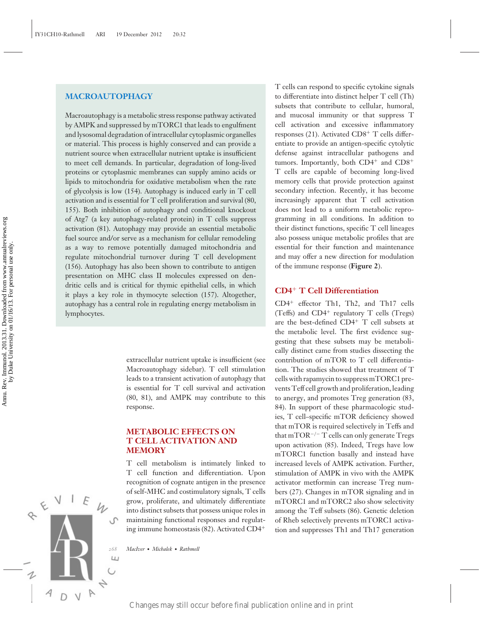## **MACROAUTOPHAGY**

Macroautophagy is a metabolic stress response pathway activated by AMPK and suppressed by mTORC1 that leads to engulfment and lysosomal degradation of intracellular cytoplasmic organelles or material. This process is highly conserved and can provide a nutrient source when extracellular nutrient uptake is insufficient to meet cell demands. In particular, degradation of long-lived proteins or cytoplasmic membranes can supply amino acids or lipids to mitochondria for oxidative metabolism when the rate of glycolysis is low (154). Autophagy is induced early in T cell activation and is essential for T cell proliferation and survival (80, 155). Both inhibition of autophagy and conditional knockout of Atg7 (a key autophagy-related protein) in T cells suppress activation (81). Autophagy may provide an essential metabolic fuel source and/or serve as a mechanism for cellular remodeling as a way to remove potentially damaged mitochondria and regulate mitochondrial turnover during T cell development (156). Autophagy has also been shown to contribute to antigen presentation on MHC class II molecules expressed on dendritic cells and is critical for thymic epithelial cells, in which it plays a key role in thymocyte selection (157). Altogether, autophagy has a central role in regulating energy metabolism in lymphocytes. Changes may still occur be the state of the state of the state of the state and in the state of the state and in the state of the state of the state of the state of the state of the state of the state of the state of the

extracellular nutrient uptake is insufficient (see Macroautophagy sidebar). T cell stimulation leads to a transient activation of autophagy that is essential for T cell survival and activation (80, 81), and AMPK may contribute to this response.

## **METABOLIC EFFECTS ON T CELL ACTIVATION AND MEMORY**

T cell metabolism is intimately linked to T cell function and differentiation. Upon recognition of cognate antigen in the presence of self-MHC and costimulatory signals, T cells grow, proliferate, and ultimately differentiate into distinct subsets that possess unique roles in maintaining functional responses and regulating immune homeostasis (82). Activated CD4<sup>+</sup>

*268 MacIver* · *Michalek* · *Rathmell*

T cells can respond to specific cytokine signals to differentiate into distinct helper T cell (Th) subsets that contribute to cellular, humoral, and mucosal immunity or that suppress T cell activation and excessive inflammatory responses (21). Activated CD8<sup>+</sup> T cells differentiate to provide an antigen-specific cytolytic defense against intracellular pathogens and tumors. Importantly, both CD4<sup>+</sup> and CD8<sup>+</sup> T cells are capable of becoming long-lived memory cells that provide protection against secondary infection. Recently, it has become increasingly apparent that T cell activation does not lead to a uniform metabolic reprogramming in all conditions. In addition to their distinct functions, specific T cell lineages also possess unique metabolic profiles that are essential for their function and maintenance and may offer a new direction for modulation of the immune response (**Figure 2**).

## **CD4**<sup>+</sup> **T Cell Differentiation**

CD4<sup>+</sup> effector Th1, Th2, and Th17 cells (Teffs) and CD4<sup>+</sup> regulatory T cells (Tregs) are the best-defined CD4<sup>+</sup> T cell subsets at the metabolic level. The first evidence suggesting that these subsets may be metabolically distinct came from studies dissecting the contribution of mTOR to T cell differentiation. The studies showed that treatment of T cells with rapamycin to suppress mTORC1 prevents Teff cell growth and proliferation, leading to anergy, and promotes Treg generation (83, 84). In support of these pharmacologic studies, T cell–specific mTOR deficiency showed that mTOR is required selectively in Teffs and that mTOR−/<sup>−</sup> T cells can only generate Tregs upon activation (85). Indeed, Tregs have low mTORC1 function basally and instead have increased levels of AMPK activation. Further, stimulation of AMPK in vivo with the AMPK activator metformin can increase Treg numbers (27). Changes in mTOR signaling and in mTORC1 and mTORC2 also show selectivity among the Teff subsets (86). Genetic deletion of Rheb selectively prevents mTORC1 activation and suppresses Th1 and Th17 generation

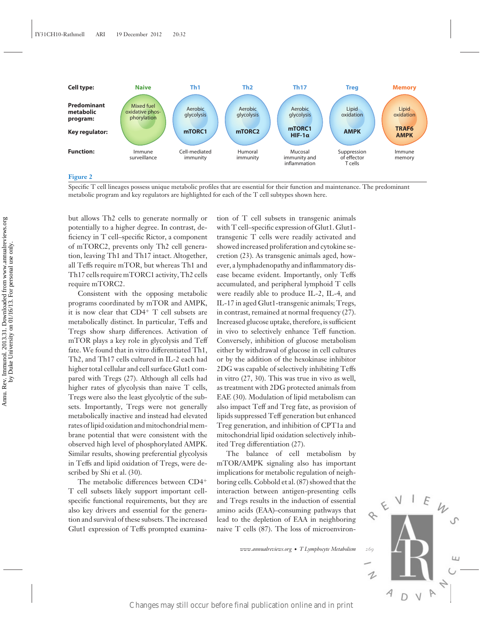

Specific T cell lineages possess unique metabolic profiles that are essential for their function and maintenance. The predominant metabolic program and key regulators are highlighted for each of the T cell subtypes shown here.

but allows Th2 cells to generate normally or potentially to a higher degree. In contrast, deficiency in T cell–specific Rictor, a component of mTORC2, prevents only Th2 cell generation, leaving Th1 and Th17 intact. Altogether, all Teffs require mTOR, but whereas Th1 and Th17 cells require mTORC1 activity, Th2 cells require mTORC2.

Consistent with the opposing metabolic programs coordinated by mTOR and AMPK, it is now clear that CD4<sup>+</sup> T cell subsets are metabolically distinct. In particular, Teffs and Tregs show sharp differences. Activation of mTOR plays a key role in glycolysis and Teff fate. We found that in vitro differentiated Th1, Th2, and Th17 cells cultured in IL-2 each had higher total cellular and cell surface Glut1 compared with Tregs (27). Although all cells had higher rates of glycolysis than naive T cells, Tregs were also the least glycolytic of the subsets. Importantly, Tregs were not generally metabolically inactive and instead had elevated rates of lipid oxidation and mitochondrial membrane potential that were consistent with the observed high level of phosphorylated AMPK. Similar results, showing preferential glycolysis in Teffs and lipid oxidation of Tregs, were described by Shi et al. (30).

The metabolic differences between CD4<sup>+</sup> T cell subsets likely support important cellspecific functional requirements, but they are also key drivers and essential for the generation and survival of these subsets. The increased Glut1 expression of Teffs prompted examina-

tion of T cell subsets in transgenic animals with T cell–specific expression of Glut1. Glut1 transgenic T cells were readily activated and showed increased proliferation and cytokine secretion (23). As transgenic animals aged, however, a lymphadenopathy and inflammatory disease became evident. Importantly, only Teffs accumulated, and peripheral lymphoid T cells were readily able to produce IL-2, IL-4, and IL-17 in aged Glut1-transgenic animals; Tregs, in contrast, remained at normal frequency (27). Increased glucose uptake, therefore, is sufficient in vivo to selectively enhance Teff function. Conversely, inhibition of glucose metabolism either by withdrawal of glucose in cell cultures or by the addition of the hexokinase inhibitor 2DG was capable of selectively inhibiting Teffs in vitro (27, 30). This was true in vivo as well, as treatment with 2DG protected animals from EAE (30). Modulation of lipid metabolism can also impact Teff and Treg fate, as provision of lipids suppressed Teff generation but enhanced Treg generation, and inhibition of CPT1a and mitochondrial lipid oxidation selectively inhibited Treg differentiation (27). For anomies in cocosi and in the constrained online and in the final publication on the still of the street results of the street of the street results of the street of the street results of the street results of the stre

The balance of cell metabolism by mTOR/AMPK signaling also has important implications for metabolic regulation of neighboring cells. Cobbold et al. (87) showed that the interaction between antigen-presenting cells and Tregs results in the induction of essential amino acids (EAA)–consuming pathways that lead to the depletion of EAA in neighboring naive T cells (87). The loss of microenviron-

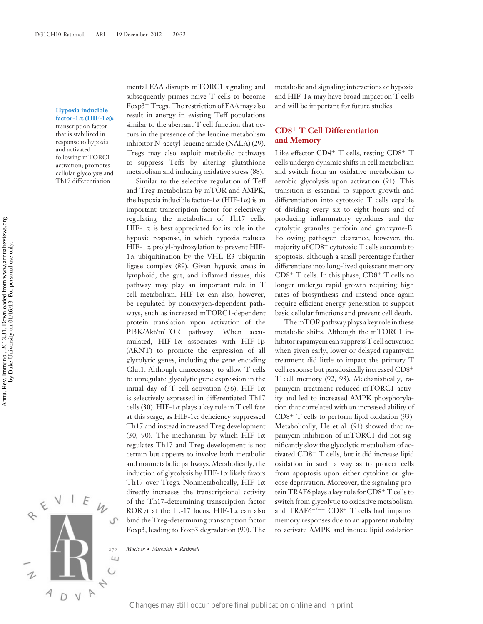**Hypoxia inducible factor-1**α **(HIF-1**α**):** transcription factor that is stabilized in response to hypoxia and activated following mTORC1 activation; promotes cellular glycolysis and Th17 differentiation

to upregulate glycolytic gene expression in the initial day of T cell activation (36), HIF-1 $\alpha$ is selectively expressed in differentiated Th17 cells (30). HIF-1 $\alpha$  plays a key role in T cell fate at this stage, as HIF-1 $\alpha$  deficiency suppressed Th17 and instead increased Treg development (30, 90). The mechanism by which HIF-1 $\alpha$ regulates Th17 and Treg development is not certain but appears to involve both metabolic and nonmetabolic pathways. Metabolically, the induction of glycolysis by  $HIF-1\alpha$  likely favors Th17 over Tregs. Nonmetabolically, HIF-1α directly increases the transcriptional activity of the Th17-determining transcription factor ROR $\gamma$ t at the IL-17 locus. HIF-1 $\alpha$  can also bind the Treg-determining transcription factor Foxp3, leading to Foxp3 degradation (90). The Equiding the includion of This case is provided and in principal and in principal publication on the state publication of the State publication of the State street state state state state state state state state state sta

mental EAA disrupts mTORC1 signaling and subsequently primes naive T cells to become Foxp3<sup>+</sup> Tregs. The restriction of EAA may also result in anergy in existing Teff populations similar to the aberrant T cell function that occurs in the presence of the leucine metabolism inhibitor N-acetyl-leucine amide (NALA) (29). Tregs may also exploit metabolic pathways to suppress Teffs by altering glutathione metabolism and inducing oxidative stress (88). Similar to the selective regulation of Teff and Treg metabolism by mTOR and AMPK, the hypoxia inducible factor-1 $\alpha$  (HIF-1 $\alpha$ ) is an important transcription factor for selectively regulating the metabolism of Th17 cells. HIF-1 $\alpha$  is best appreciated for its role in the hypoxic response, in which hypoxia reduces HIF-1α prolyl-hydroxylation to prevent HIF- $1\alpha$  ubiquitination by the VHL E3 ubiquitin ligase complex (89). Given hypoxic areas in lymphoid, the gut, and inflamed tissues, this pathway may play an important role in T cell metabolism. HIF-1 $\alpha$  can also, however, be regulated by nonoxygen-dependent pathways, such as increased mTORC1-dependent protein translation upon activation of the PI3K/Akt/mTOR pathway. When accumulated, HIF-1α associates with HIF-1β (ARNT) to promote the expression of all glycolytic genes, including the gene encoding Glut1. Although unnecessary to allow T cells

metabolic and signaling interactions of hypoxia and HIF-1 $\alpha$  may have broad impact on T cells and will be important for future studies.

## **CD8**<sup>+</sup> **T Cell Differentiation and Memory**

Like effector  $CD4^+$  T cells, resting  $CD8^+$  T cells undergo dynamic shifts in cell metabolism and switch from an oxidative metabolism to aerobic glycolysis upon activation (91). This transition is essential to support growth and differentiation into cytotoxic T cells capable of dividing every six to eight hours and of producing inflammatory cytokines and the cytolytic granules perforin and granzyme-B. Following pathogen clearance, however, the majority of  $CD8<sup>+</sup>$  cytotoxic T cells succumb to apoptosis, although a small percentage further differentiate into long-lived quiescent memory CD8<sup>+</sup> T cells. In this phase, CD8<sup>+</sup> T cells no longer undergo rapid growth requiring high rates of biosynthesis and instead once again require efficient energy generation to support basic cellular functions and prevent cell death.

The mTOR pathway plays a key role in these metabolic shifts. Although the mTORC1 inhibitor rapamycin can suppress T cell activation when given early, lower or delayed rapamycin treatment did little to impact the primary T cell response but paradoxically increased CD8<sup>+</sup> T cell memory (92, 93). Mechanistically, rapamycin treatment reduced mTORC1 activity and led to increased AMPK phosphorylation that correlated with an increased ability of  $CD8<sup>+</sup>$  T cells to perform lipid oxidation (93). Metabolically, He et al. (91) showed that rapamycin inhibition of mTORC1 did not significantly slow the glycolytic metabolism of activated CD8<sup>+</sup> T cells, but it did increase lipid oxidation in such a way as to protect cells from apoptosis upon either cytokine or glucose deprivation. Moreover, the signaling protein TRAF6 plays a key role for CD8<sup>+</sup> T cells to switch from glycolytic to oxidative metabolism, and TRAF6−/−− CD8<sup>+</sup> T cells had impaired memory responses due to an apparent inability to activate AMPK and induce lipid oxidation

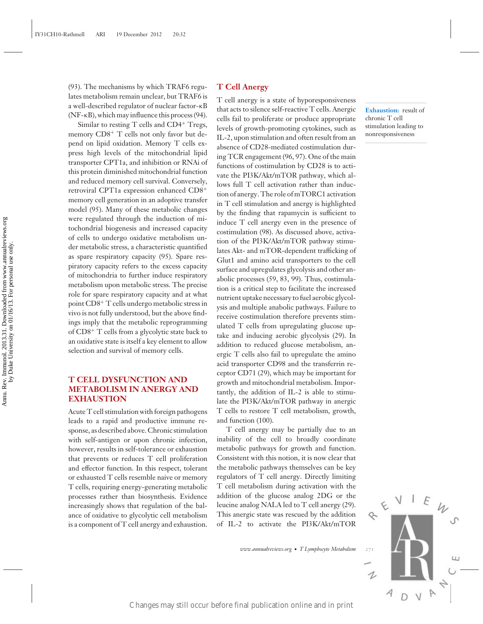(93). The mechanisms by which TRAF6 regulates metabolism remain unclear, but TRAF6 is a well-described regulator of nuclear factor-κB (NF-κB), which may influence this process (94).

Similar to resting T cells and CD4<sup>+</sup> Tregs, memory  $CD8<sup>+</sup>$  T cells not only favor but depend on lipid oxidation. Memory T cells express high levels of the mitochondrial lipid transporter CPT1a, and inhibition or RNAi of this protein diminished mitochondrial function and reduced memory cell survival. Conversely, retroviral CPT1a expression enhanced CD8<sup>+</sup> memory cell generation in an adoptive transfer model (95). Many of these metabolic changes were regulated through the induction of mitochondrial biogenesis and increased capacity of cells to undergo oxidative metabolism under metabolic stress, a characteristic quantified as spare respiratory capacity (95). Spare respiratory capacity refers to the excess capacity of mitochondria to further induce respiratory metabolism upon metabolic stress. The precise role for spare respiratory capacity and at what point CD8<sup>+</sup> T cells undergo metabolic stress in vivo is not fully understood, but the above findings imply that the metabolic reprogramming of CD8<sup>+</sup> T cells from a glycolytic state back to an oxidative state is itself a key element to allow selection and survival of memory cells.

## **T CELL DYSFUNCTION AND METABOLISM IN ANERGY AND EXHAUSTION**

Acute T cell stimulation with foreign pathogens leads to a rapid and productive immune response, as described above. Chronic stimulation with self-antigen or upon chronic infection, however, results in self-tolerance or exhaustion that prevents or reduces T cell proliferation and effector function. In this respect, tolerant or exhausted T cells resemble naive or memory T cells, requiring energy-generating metabolic processes rather than biosynthesis. Evidence increasingly shows that regulation of the balance of oxidative to glycolytic cell metabolism is a component of T cell anergy and exhaustion.

#### **T Cell Anergy**

T cell anergy is a state of hyporesponsiveness that acts to silence self-reactive T cells. Anergic cells fail to proliferate or produce appropriate levels of growth-promoting cytokines, such as IL-2, upon stimulation and often result from an absence of CD28-mediated costimulation during TCR engagement (96, 97). One of the main functions of costimulation by CD28 is to activate the PI3K/Akt/mTOR pathway, which allows full T cell activation rather than induction of anergy. The role of mTORC1 activation in T cell stimulation and anergy is highlighted by the finding that rapamycin is sufficient to induce T cell anergy even in the presence of costimulation (98). As discussed above, activation of the PI3K/Akt/mTOR pathway stimulates Akt- and mTOR-dependent trafficking of Glut1 and amino acid transporters to the cell surface and upregulates glycolysis and other anabolic processes (59, 83, 99). Thus, costimulation is a critical step to facilitate the increased nutrient uptake necessary to fuel aerobic glycolysis and multiple anabolic pathways. Failure to receive costimulation therefore prevents stimulated T cells from upregulating glucose uptake and inducing aerobic glycolysis (29). In addition to reduced glucose metabolism, anergic T cells also fail to upregulate the amino acid transporter CD98 and the transferrin receptor CD71 (29), which may be important for growth and mitochondrial metabolism. Importantly, the addition of IL-2 is able to stimulate the PI3K/Akt/mTOR pathway in anergic T cells to restore T cell metabolism, growth, and function (100). Example the method is equity that and the publication of the HBANA<br>Interference final publication on the RHSANA/INTOR publication online and in principle<br>methods may still occur before FIMA/INTOR publication on the still

T cell anergy may be partially due to an inability of the cell to broadly coordinate metabolic pathways for growth and function. Consistent with this notion, it is now clear that the metabolic pathways themselves can be key regulators of T cell anergy. Directly limiting T cell metabolism during activation with the addition of the glucose analog 2DG or the leucine analog NALA led to T cell anergy (29). This anergic state was rescued by the addition of IL-2 to activate the PI3K/Akt/mTOR



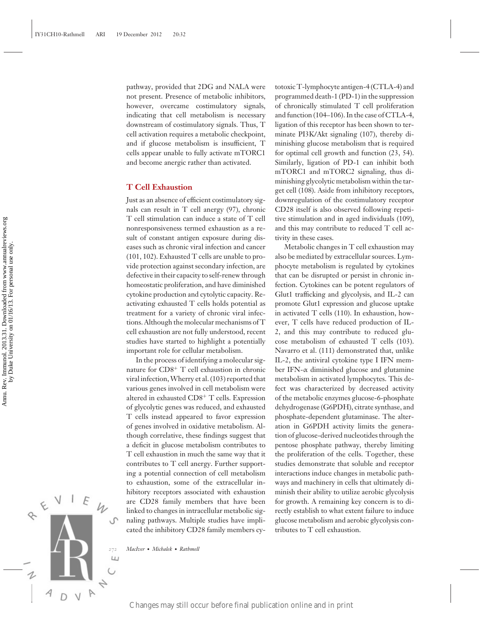pathway, provided that 2DG and NALA were not present. Presence of metabolic inhibitors, however, overcame costimulatory signals, indicating that cell metabolism is necessary downstream of costimulatory signals. Thus, T cell activation requires a metabolic checkpoint, and if glucose metabolism is insufficient, T cells appear unable to fully activate mTORC1 and become anergic rather than activated.

#### **T Cell Exhaustion**

Just as an absence of efficient costimulatory signals can result in T cell anergy (97), chronic T cell stimulation can induce a state of T cell nonresponsiveness termed exhaustion as a result of constant antigen exposure during diseases such as chronic viral infection and cancer (101, 102). Exhausted T cells are unable to provide protection against secondary infection, are defective in their capacity to self-renew through homeostatic proliferation, and have diminished cytokine production and cytolytic capacity. Reactivating exhausted T cells holds potential as treatment for a variety of chronic viral infections. Although the molecular mechanisms of T cell exhaustion are not fully understood, recent studies have started to highlight a potentially important role for cellular metabolism.

In the process of identifying a molecular signature for CD8<sup>+</sup> T cell exhaustion in chronic viral infection,Wherry et al. (103) reported that various genes involved in cell metabolism were altered in exhausted CD8<sup>+</sup> T cells. Expression of glycolytic genes was reduced, and exhausted T cells instead appeared to favor expression of genes involved in oxidative metabolism. Although correlative, these findings suggest that a deficit in glucose metabolism contributes to T cell exhaustion in much the same way that it contributes to T cell anergy. Further supporting a potential connection of cell metabolism to exhaustion, some of the extracellular inhibitory receptors associated with exhaustion are CD28 family members that have been linked to changes in intracellular metabolic signaling pathways. Multiple studies have implicated the inhibitory CD28 family members cy-For example is a constant and publication on a more of the constant and in print Annual publication online and in print Annual Publication on the state of the constant and the constant and the constant and the constant an

totoxic T-lymphocyte antigen-4 (CTLA-4) and programmed death-1 (PD-1) in the suppression of chronically stimulated T cell proliferation and function (104–106). In the case of CTLA-4, ligation of this receptor has been shown to terminate PI3K/Akt signaling (107), thereby diminishing glucose metabolism that is required for optimal cell growth and function (23, 54). Similarly, ligation of PD-1 can inhibit both mTORC1 and mTORC2 signaling, thus diminishing glycolytic metabolism within the target cell (108). Aside from inhibitory receptors, downregulation of the costimulatory receptor CD28 itself is also observed following repetitive stimulation and in aged individuals (109), and this may contribute to reduced T cell activity in these cases.

Metabolic changes in T cell exhaustion may also be mediated by extracellular sources. Lymphocyte metabolism is regulated by cytokines that can be disrupted or persist in chronic infection. Cytokines can be potent regulators of Glut1 trafficking and glycolysis, and IL-2 can promote Glut1 expression and glucose uptake in activated T cells (110). In exhaustion, however, T cells have reduced production of IL-2, and this may contribute to reduced glucose metabolism of exhausted T cells (103). Navarro et al. (111) demonstrated that, unlike IL-2, the antiviral cytokine type I IFN member IFN-α diminished glucose and glutamine metabolism in activated lymphocytes. This defect was characterized by decreased activity of the metabolic enzymes glucose-6-phosphate dehydrogenase (G6PDH), citrate synthase, and phosphate-dependent glutaminase. The alteration in G6PDH activity limits the generation of glucose-derived nucleotides through the pentose phosphate pathway, thereby limiting the proliferation of the cells. Together, these studies demonstrate that soluble and receptor interactions induce changes in metabolic pathways and machinery in cells that ultimately diminish their ability to utilize aerobic glycolysis for growth. A remaining key concern is to directly establish to what extent failure to induce glucose metabolism and aerobic glycolysis contributes to T cell exhaustion.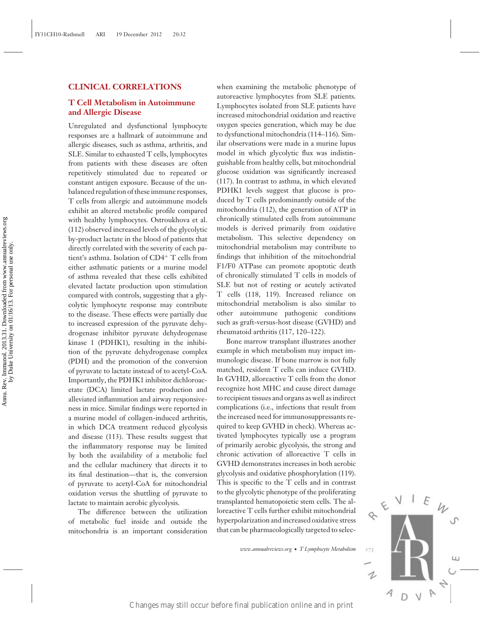## **CLINICAL CORRELATIONS**

## **T Cell Metabolism in Autoimmune and Allergic Disease**

Unregulated and dysfunctional lymphocyte responses are a hallmark of autoimmune and allergic diseases, such as asthma, arthritis, and SLE. Similar to exhausted T cells, lymphocytes from patients with these diseases are often repetitively stimulated due to repeated or constant antigen exposure. Because of the unbalanced regulation of these immune responses, T cells from allergic and autoimmune models exhibit an altered metabolic profile compared with healthy lymphocytes. Ostroukhova et al. (112) observed increased levels of the glycolytic by-product lactate in the blood of patients that directly correlated with the severity of each patient's asthma. Isolation of CD4<sup>+</sup> T cells from either asthmatic patients or a murine model of asthma revealed that these cells exhibited elevated lactate production upon stimulation compared with controls, suggesting that a glycolytic lymphocyte response may contribute to the disease. These effects were partially due to increased expression of the pyruvate dehydrogenase inhibitor pyruvate dehydrogenase kinase 1 (PDHK1), resulting in the inhibition of the pyruvate dehydrogenase complex (PDH) and the promotion of the conversion of pyruvate to lactate instead of to acetyl-CoA. Importantly, the PDHK1 inhibitor dichloroacetate (DCA) limited lactate production and alleviated inflammation and airway responsiveness in mice. Similar findings were reported in a murine model of collagen-induced arthritis, in which DCA treatment reduced glycolysis and disease (113). These results suggest that the inflammatory response may be limited by both the availability of a metabolic fuel and the cellular machinery that directs it to its final destination—that is, the conversion of pyruvate to acetyl-CoA for mitochondrial oxidation versus the shuttling of pyruvate to lactate to maintain aerobic glycolysis. with holiday myahoasses. Occurs at the metalolical is distincted primarily contained by product lectrices in the blood of partens har in metalodism. This selectrice dependentry of the still of the still of the still of th

The difference between the utilization of metabolic fuel inside and outside the mitochondria is an important consideration when examining the metabolic phenotype of autoreactive lymphocytes from SLE patients. Lymphocytes isolated from SLE patients have increased mitochondrial oxidation and reactive oxygen species generation, which may be due to dysfunctional mitochondria (114–116). Similar observations were made in a murine lupus model in which glycolytic flux was indistinguishable from healthy cells, but mitochondrial glucose oxidation was significantly increased (117). In contrast to asthma, in which elevated PDHK1 levels suggest that glucose is produced by T cells predominantly outside of the mitochondria (112), the generation of ATP in chronically stimulated cells from autoimmune models is derived primarily from oxidative metabolism. This selective dependency on mitochondrial metabolism may contribute to findings that inhibition of the mitochondrial F1/F0 ATPase can promote apoptotic death of chronically stimulated T cells in models of SLE but not of resting or acutely activated T cells (118, 119). Increased reliance on mitochondrial metabolism is also similar to other autoimmune pathogenic conditions such as graft-versus-host disease (GVHD) and rheumatoid arthritis (117, 120–122).

Bone marrow transplant illustrates another example in which metabolism may impact immunologic disease. If bone marrow is not fully matched, resident T cells can induce GVHD. In GVHD, alloreactive T cells from the donor recognize host MHC and cause direct damage to recipient tissues and organs as well as indirect complications (i.e., infections that result from the increased need for immunosuppressants required to keep GVHD in check). Whereas activated lymphocytes typically use a program of primarily aerobic glycolysis, the strong and chronic activation of alloreactive T cells in GVHD demonstrates increases in both aerobic glycolysis and oxidative phosphorylation (119). This is specific to the T cells and in contrast to the glycolytic phenotype of the proliferating transplanted hematopoietic stem cells. The alloreactive T cells further exhibit mitochondrial hyperpolarization and increased oxidative stress that can be pharmacologically targeted to selec-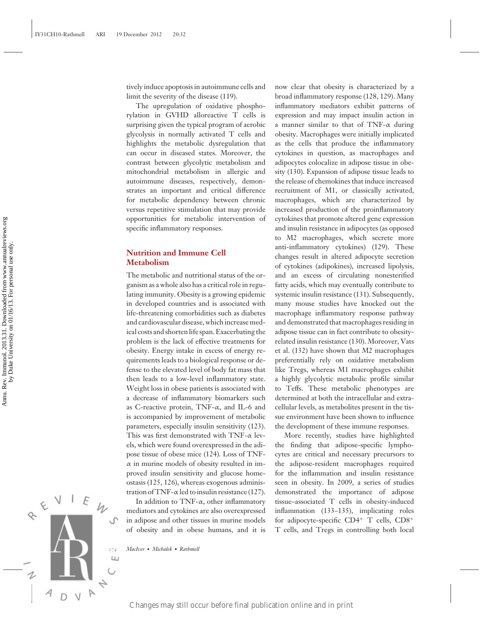tively induce apoptosis in autoimmune cells and limit the severity of the disease (119).

The upregulation of oxidative phosphorylation in GVHD alloreactive T cells is surprising given the typical program of aerobic glycolysis in normally activated T cells and highlights the metabolic dysregulation that can occur in diseased states. Moreover, the contrast between glycolytic metabolism and mitochondrial metabolism in allergic and autoimmune diseases, respectively, demonstrates an important and critical difference for metabolic dependency between chronic versus repetitive stimulation that may provide opportunities for metabolic intervention of specific inflammatory responses.

## **Nutrition and Immune Cell Metabolism**

The metabolic and nutritional status of the organism as a whole also has a critical role in regulating immunity. Obesity is a growing epidemic in developed countries and is associated with life-threatening comorbidities such as diabetes and cardiovascular disease, which increase medical costs and shorten life span. Exacerbating the problem is the lack of effective treatments for obesity. Energy intake in excess of energy requirements leads to a biological response or defense to the elevated level of body fat mass that then leads to a low-level inflammatory state. Weight loss in obese patients is associated with a decrease of inflammatory biomarkers such as C-reactive protein, TNF-α, and IL-6 and is accompanied by improvement of metabolic parameters, especially insulin sensitivity (123). This was first demonstrated with TNF- $\alpha$  levels, which were found overexpressed in the adipose tissue of obese mice (124). Loss of TNF- $\alpha$  in murine models of obesity resulted in improved insulin sensitivity and glucose homeostasis (125, 126), whereas exogenous administration of TNF- $\alpha$  led to insulin resistance (127). Special occur before final publication of cyclosics may still occur before final publication online and in print Annually is the stress of the model of the stress of the stress of the stress of the stress of the stress of

In addition to TNF-α, other inflammatory mediators and cytokines are also overexpressed in adipose and other tissues in murine models of obesity and in obese humans, and it is now clear that obesity is characterized by a broad inflammatory response (128, 129). Many inflammatory mediators exhibit patterns of expression and may impact insulin action in a manner similar to that of TNF-α during obesity. Macrophages were initially implicated as the cells that produce the inflammatory cytokines in question, as macrophages and adipocytes colocalize in adipose tissue in obesity (130). Expansion of adipose tissue leads to the release of chemokines that induce increased recruitment of M1, or classically activated, macrophages, which are characterized by increased production of the proinflammatory cytokines that promote altered gene expression and insulin resistance in adipocytes (as opposed to M2 macrophages, which secrete more anti-inflammatory cytokines) (129). These changes result in altered adipocyte secretion of cytokines (adipokines), increased lipolysis, and an excess of circulating nonesterified fatty acids, which may eventually contribute to systemic insulin resistance (131). Subsequently, many mouse studies have knocked out the macrophage inflammatory response pathway and demonstrated that macrophages residing in adipose tissue can in fact contribute to obesityrelated insulin resistance (130). Moreover, Vats et al. (132) have shown that M2 macrophages preferentially rely on oxidative metabolism like Tregs, whereas M1 macrophages exhibit a highly glycolytic metabolic profile similar to Teffs. These metabolic phenotypes are determined at both the intracellular and extracellular levels, as metabolites present in the tissue environment have been shown to influence the development of these immune responses.

More recently, studies have highlighted the finding that adipose-specific lymphocytes are critical and necessary precursors to the adipose-resident macrophages required for the inflammation and insulin resistance seen in obesity. In 2009, a series of studies demonstrated the importance of adipose tissue–associated T cells in obesity-induced inflammation (133–135), implicating roles for adipocyte-specific  $CD4^+$  T cells,  $CD8^+$ T cells, and Tregs in controlling both local

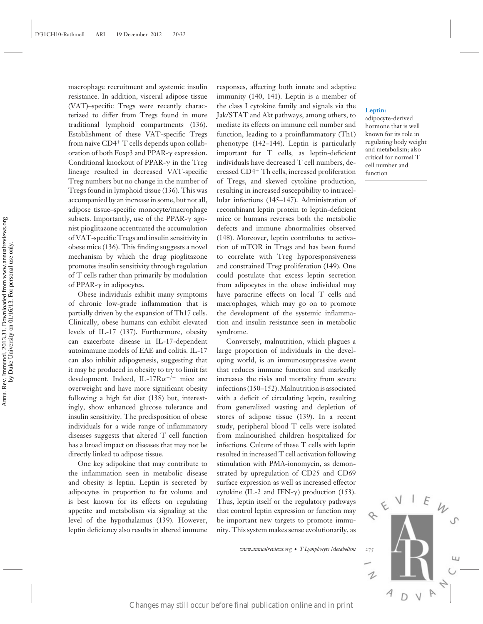macrophage recruitment and systemic insulin resistance. In addition, visceral adipose tissue (VAT)–specific Tregs were recently characterized to differ from Tregs found in more traditional lymphoid compartments (136). Establishment of these VAT-specific Tregs from naive CD4<sup>+</sup> T cells depends upon collaboration of both Foxp3 and PPAR-γ expression. Conditional knockout of PPAR-γ in the Treg lineage resulted in decreased VAT-specific Treg numbers but no change in the number of Tregs found in lymphoid tissue (136). This was accompanied by an increase in some, but not all, adipose tissue–specific monocyte/macrophage subsets. Importantly, use of the PPAR- $\gamma$  agonist pioglitazone accentuated the accumulation of VAT-specific Tregs and insulin sensitivity in obese mice (136). This finding suggests a novel mechanism by which the drug pioglitazone promotes insulin sensitivity through regulation of T cells rather than primarily by modulation of PPAR- $\gamma$  in adipocytes.

Obese individuals exhibit many symptoms of chronic low-grade inflammation that is partially driven by the expansion of Th17 cells. Clinically, obese humans can exhibit elevated levels of IL-17 (137). Furthermore, obesity can exacerbate disease in IL-17-dependent autoimmune models of EAE and colitis. IL-17 can also inhibit adipogenesis, suggesting that it may be produced in obesity to try to limit fat development. Indeed, IL-17R $\alpha$ <sup>-/-</sup> mice are overweight and have more significant obesity following a high fat diet (138) but, interestingly, show enhanced glucose tolerance and insulin sensitivity. The predisposition of obese individuals for a wide range of inflammatory diseases suggests that altered T cell function has a broad impact on diseases that may not be directly linked to adipose tissue.

One key adipokine that may contribute to the inflammation seen in metabolic disease and obesity is leptin. Leptin is secreted by adipocytes in proportion to fat volume and is best known for its effects on regulating appetite and metabolism via signaling at the level of the hypothalamus (139). However, leptin deficiency also results in altered immune

responses, affecting both innate and adaptive immunity (140, 141). Leptin is a member of the class I cytokine family and signals via the Jak/STAT and Akt pathways, among others, to mediate its effects on immune cell number and function, leading to a proinflammatory (Th1) phenotype (142–144). Leptin is particularly important for T cells, as leptin-deficient individuals have decreased T cell numbers, decreased CD4<sup>+</sup> Th cells, increased proliferation of Tregs, and skewed cytokine production, resulting in increased susceptibility to intracellular infections (145–147). Administration of recombinant leptin protein to leptin-deficient mice or humans reverses both the metabolic defects and immune abnormalities observed (148). Moreover, leptin contributes to activation of mTOR in Tregs and has been found to correlate with Treg hyporesponsiveness and constrained Treg proliferation (149). One could postulate that excess leptin secretion from adipocytes in the obese individual may have paracrine effects on local T cells and macrophages, which may go on to promote the development of the systemic inflammation and insulin resistance seen in metabolic syndrome.

Conversely, malnutrition, which plagues a large proportion of individuals in the developing world, is an immunosuppressive event that reduces immune function and markedly increases the risks and mortality from severe infections (150–152). Malnutrition is associated with a deficit of circulating leptin, resulting from generalized wasting and depletion of stores of adipose tissue (139). In a recent study, peripheral blood T cells were isolated from malnourished children hospitalized for infections. Culture of these T cells with leptin resulted in increased T cell activation following stimulation with PMA-ionomycin, as demonstrated by upregulation of CD25 and CD69 surface expression as well as increased effector cytokine (IL-2 and IFN- $\gamma$ ) production (153). Thus, leptin itself or the regulatory pathways that control leptin expression or function may be important new targets to promote immunity. This system makes sense evolutionarily, as states. Importantly, are of the PEM-view stop, mass or means recent betore of M1-specific Trees and insularity in (148). Macroscopic point on a correlation on the still of the specific transmitted in print Annual publicat

*www.annualreviews.org* • *T Lymphocyte Metabolism 275*

#### **Leptin:**

adipocyte-derived hormone that is well known for its role in regulating body weight and metabolism; also critical for normal T cell number and function

1 D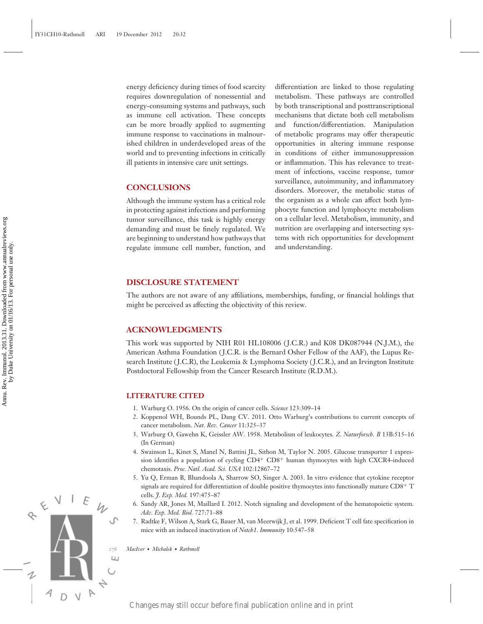energy deficiency during times of food scarcity requires downregulation of nonessential and energy-consuming systems and pathways, such as immune cell activation. These concepts can be more broadly applied to augmenting immune response to vaccinations in malnourished children in underdeveloped areas of the world and to preventing infections in critically ill patients in intensive care unit settings.

## **CONCLUSIONS**

Although the immune system has a critical role in protecting against infections and performing tumor surveillance, this task is highly energy demanding and must be finely regulated. We are beginning to understand how pathways that regulate immune cell number, function, and

differentiation are linked to those regulating metabolism. These pathways are controlled by both transcriptional and posttranscriptional mechanisms that dictate both cell metabolism and function/differentiation. Manipulation of metabolic programs may offer therapeutic opportunities in altering immune response in conditions of either immunosuppression or inflammation. This has relevance to treatment of infections, vaccine response, tumor surveillance, autoimmunity, and inflammatory disorders. Moreover, the metabolic status of the organism as a whole can affect both lymphocyte function and lymphocyte metabolism on a cellular level. Metabolism, immunity, and nutrition are overlapping and intersecting systems with rich opportunities for development and understanding.

#### **DISCLOSURE STATEMENT**

The authors are not aware of any affiliations, memberships, funding, or financial holdings that might be perceived as affecting the objectivity of this review.

## **ACKNOWLEDGMENTS**

This work was supported by NIH R01 HL108006 ( J.C.R.) and K08 DK087944 (N.J.M.), the American Asthma Foundation ( J.C.R. is the Bernard Osher Fellow of the AAF), the Lupus Research Institute ( J.C.R), the Leukemia & Lymphoma Society ( J.C.R.), and an Irvington Institute Postdoctoral Fellowship from the Cancer Research Institute (R.D.M.). EFREE CHANNET CHANNET CHANNET CHANNET CHANNET CHANNET CHANNET CHANNET CHANNET CHANNET CHANNET CHANNET CHANNET CHANNET CHANNET CHANNEL CHANNET CHANNEL CHANNEL CHANNEL CHANNEL CHANNEL CHANNEL CHANNEL CHANNEL CHANNEL CHANNEL

#### **LITERATURE CITED**

- 1. Warburg O. 1956. On the origin of cancer cells. *Science* 123:309–14
- 2. Koppenol WH, Bounds PL, Dang CV. 2011. Otto Warburg's contributions to current concepts of cancer metabolism. *Nat. Rev. Cancer* 11:325–37
- 3. Warburg O, Gawehn K, Geissler AW. 1958. Metabolism of leukocytes. *Z. Naturforsch. B* 13B:515–16 (In German)
- 4. Swainson L, Kinet S, Manel N, Battini JL, Sitbon M, Taylor N. 2005. Glucose transporter 1 expression identifies a population of cycling CD4+ CD8+ human thymocytes with high CXCR4-induced chemotaxis. *Proc. Natl. Acad. Sci. USA* 102:12867–72
- 5. Yu Q, Erman B, Bhandoola A, Sharrow SO, Singer A. 2003. In vitro evidence that cytokine receptor signals are required for differentiation of double positive thymocytes into functionally mature  $CDS^{+}$  T cells. *J. Exp. Med.* 197:475–87
- 6. Sandy AR, Jones M, Maillard I. 2012. Notch signaling and development of the hematopoietic system. *Adv. Exp. Med. Biol.* 727:71–88
- 7. Radtke F, Wilson A, Stark G, Bauer M, van Meerwijk J, et al. 1999. Deficient T cell fate specification in mice with an induced inactivation of *Notch1*. *Immunity* 10:547–58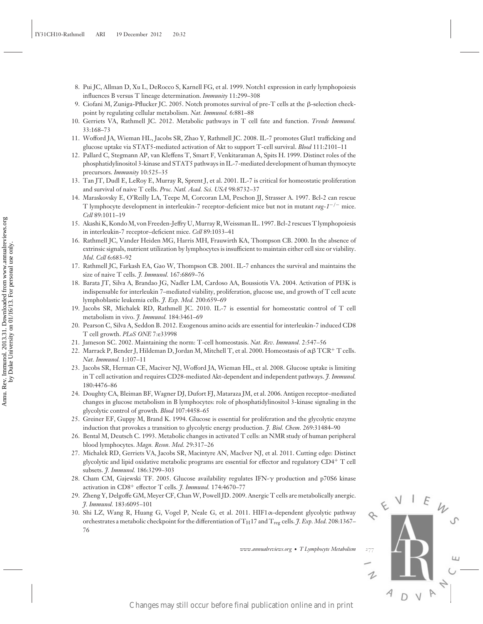- 8. Pui JC, Allman D, Xu L, DeRocco S, Karnell FG, et al. 1999. Notch1 expression in early lymphopoiesis influences B versus T lineage determination. *Immunity* 11:299–308
- 9. Ciofani M, Zuniga-Pflucker JC. 2005. Notch promotes survival of pre-T cells at the β-selection checkpoint by regulating cellular metabolism. *Nat. Immunol.* 6:881–88
- 10. Gerriets VA, Rathmell JC. 2012. Metabolic pathways in T cell fate and function. *Trends Immunol.* 33:168–73
- 11. Wofford JA, Wieman HL, Jacobs SR, Zhao Y, Rathmell JC. 2008. IL-7 promotes Glut1 trafficking and glucose uptake via STAT5-mediated activation of Akt to support T-cell survival. *Blood* 111:2101–11
- 12. Pallard C, Stegmann AP, van Kleffens T, Smart F, Venkitaraman A, Spits H. 1999. Distinct roles of the phosphatidylinositol 3-kinase and STAT5 pathways in IL-7-mediated development of human thymocyte precursors. *Immunity* 10:525–35
- 13. Tan JT, Dudl E, LeRoy E, Murray R, Sprent J, et al. 2001. IL-7 is critical for homeostatic proliferation and survival of naive T cells. *Proc. Natl. Acad. Sci. USA* 98:8732–37
- 14. Maraskovsky E, O'Reilly LA, Teepe M, Corcoran LM, Peschon JJ, Strasser A. 1997. Bcl-2 can rescue T lymphocyte development in interleukin-7 receptor-deficient mice but not in mutant *rag-1*−/<sup>−</sup> mice. *Cell* 89:1011–19
- 15. Akashi K, KondoM, von Freeden-Jeffry U,Murray R,Weissman IL. 1997. Bcl-2 rescues T lymphopoiesis in interleukin-7 receptor–deficient mice. *Cell* 89:1033–41
- 16. Rathmell JC, Vander Heiden MG, Harris MH, Frauwirth KA, Thompson CB. 2000. In the absence of extrinsic signals, nutrient utilization by lymphocytes is insufficient to maintain either cell size or viability. *Mol. Cell* 6:683–92 Changes may still occur before the publication of the still of the still of Variable Publication online and in principle and in principle and in the station of the station of the station of the station of the station of t
	- 17. Rathmell JC, Farkash EA, Gao W, Thompson CB. 2001. IL-7 enhances the survival and maintains the size of naive T cells. *J. Immunol.* 167:6869–76
	- 18. Barata JT, Silva A, Brandao JG, Nadler LM, Cardoso AA, Boussiotis VA. 2004. Activation of PI3K is indispensable for interleukin 7–mediated viability, proliferation, glucose use, and growth of T cell acute lymphoblastic leukemia cells. *J. Exp. Med.* 200:659–69
	- 19. Jacobs SR, Michalek RD, Rathmell JC. 2010. IL-7 is essential for homeostatic control of T cell metabolism in vivo. *J. Immunol.* 184:3461–69
	- 20. Pearson C, Silva A, Seddon B. 2012. Exogenous amino acids are essential for interleukin-7 induced CD8 T cell growth. *PLoS ONE* 7:e33998
	- 21. Jameson SC. 2002. Maintaining the norm: T-cell homeostasis. *Nat. Rev. Immunol.* 2:547–56
	- 22. Marrack P, Bender J, Hildeman D, Jordan M, Mitchell T, et al. 2000. Homeostasis of αβTCR+ T cells. *Nat. Immunol.* 1:107–11
	- 23. Jacobs SR, Herman CE, Maciver NJ, Wofford JA, Wieman HL, et al. 2008. Glucose uptake is limiting in T cell activation and requires CD28-mediated Akt-dependent and independent pathways. *J. Immunol.* 180:4476–86
	- 24. Doughty CA, Bleiman BF, Wagner DJ, Dufort FJ, Mataraza JM, et al. 2006. Antigen receptor–mediated changes in glucose metabolism in B lymphocytes: role of phosphatidylinositol 3-kinase signaling in the glycolytic control of growth. *Blood* 107:4458–65
	- 25. Greiner EF, Guppy M, Brand K. 1994. Glucose is essential for proliferation and the glycolytic enzyme induction that provokes a transition to glycolytic energy production. *J. Biol. Chem.* 269:31484–90
	- 26. Bental M, Deutsch C. 1993. Metabolic changes in activated T cells: an NMR study of human peripheral blood lymphocytes. *Magn. Reson. Med.* 29:317–26
	- 27. Michalek RD, Gerriets VA, Jacobs SR, Macintyre AN, MacIver NJ, et al. 2011. Cutting edge: Distinct glycolytic and lipid oxidative metabolic programs are essential for effector and regulatory CD4+ T cell subsets. *J. Immunol.* 186:3299–303
	- 28. Cham CM, Gajewski TF. 2005. Glucose availability regulates IFN-γ production and p70S6 kinase activation in CD8+ effector T cells. *J. Immunol.* 174:4670–77
	- 29. Zheng Y, Delgoffe GM, Meyer CF, Chan W, Powell JD. 2009. Anergic T cells are metabolically anergic. *J. Immunol.* 183:6095–101
	- 30. Shi LZ, Wang R, Huang G, Vogel P, Neale G, et al. 2011. HIF1α–dependent glycolytic pathway orchestrates a metabolic checkpoint for the differentiation of TH17 and Treg cells. *J. Exp. Med.* 208:1367– 76

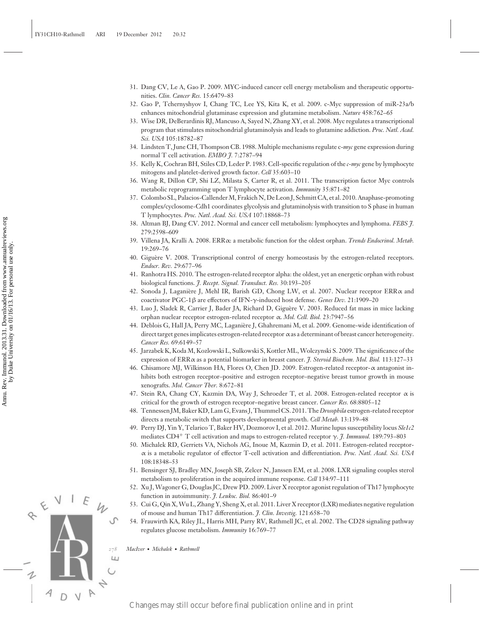- 31. Dang CV, Le A, Gao P. 2009. MYC-induced cancer cell energy metabolism and therapeutic opportunities. *Clin. Cancer Res.* 15:6479–83
- 32. Gao P, Tchernyshyov I, Chang TC, Lee YS, Kita K, et al. 2009. c-Myc suppression of miR-23a/b enhances mitochondrial glutaminase expression and glutamine metabolism. *Nature* 458:762–65
- 33. Wise DR, DeBerardinis RJ, Mancuso A, Sayed N, Zhang XY, et al. 2008. Myc regulates a transcriptional program that stimulates mitochondrial glutaminolysis and leads to glutamine addiction. *Proc. Natl. Acad. Sci. USA* 105:18782–87
- 34. Lindsten T, June CH, Thompson CB. 1988. Multiple mechanisms regulate c-*myc* gene expression during normal T cell activation. *EMBO J.* 7:2787–94
- 35. Kelly K, Cochran BH, Stiles CD, Leder P. 1983. Cell-specific regulation of the *c-myc* gene by lymphocyte mitogens and platelet-derived growth factor. *Cell* 35:603–10
- 36. Wang R, Dillon CP, Shi LZ, Milasta S, Carter R, et al. 2011. The transcription factor Myc controls metabolic reprogramming upon T lymphocyte activation. *Immunity* 35:871–82
- 37. Colombo SL, Palacios-Callender M, Frakich N, De Leon J, Schmitt CA, et al. 2010. Anaphase-promoting complex/cyclosome-Cdh1 coordinates glycolysis and glutaminolysis with transition to S phase in human T lymphocytes. *Proc. Natl. Acad. Sci. USA* 107:18868–73
- 38. Altman BJ, Dang CV. 2012. Normal and cancer cell metabolism: lymphocytes and lymphoma. *FEBS J.* 279:2598–609
- 39. Villena JA, Kralli A. 2008. ERRα: a metabolic function for the oldest orphan. *Trends Endocrinol. Metab.* 19:269–76
- 40. Giguère V. 2008. Transcriptional control of energy homeostasis by the estrogen-related receptors. *Endocr. Rev.* 29:677–96
- 41. Ranhotra HS. 2010. The estrogen-related receptor alpha: the oldest, yet an energetic orphan with robust biological functions. *J. Recept. Signal. Transduct. Res.* 30:193–205
- 42. Sonoda J, Laganière J, Mehl IR, Barish GD, Chong LW, et al. 2007. Nuclear receptor ERRα and coactivator PGC-1β are effectors of IFN-γ-induced host defense. *Genes Dev.* 21:1909–20
- 43. Luo J, Sladek R, Carrier J, Bader JA, Richard D, Giguere V. 2003. Reduced fat mass in mice lacking ` orphan nuclear receptor estrogen-related receptor α. *Mol. Cell. Biol.* 23:7947–56
- 44. Deblois G, Hall JA, Perry MC, Laganiere J, Ghahremani M, et al. 2009. Genome-wide identification of ` direct target genes implicates estrogen-related receptor αas a determinant of breast cancer heterogeneity. *Cancer Res.* 69:6149–57 Section 18). Changes may still occur before final publication of the state state is the state of the state of the state of the state of the state of the state of the state of the state of the state of the state of the sta
	- 45. Jarzabek K, Koda M, Kozlowski L, Sulkowski S, Kottler ML,Wolczynski S. 2009. The significance of the expression of ERRα as a potential biomarker in breast cancer. *J. Steroid Biochem. Mol. Biol.* 113:127–33
	- 46. Chisamore MJ, Wilkinson HA, Flores O, Chen JD. 2009. Estrogen-related receptor-α antagonist inhibits both estrogen receptor–positive and estrogen receptor–negative breast tumor growth in mouse xenografts. *Mol. Cancer Ther.* 8:672–81
	- 47. Stein RA, Chang CY, Kazmin DA, Way J, Schroeder T, et al. 2008. Estrogen-related receptor α is critical for the growth of estrogen receptor–negative breast cancer. *Cancer Res.* 68:8805–12
	- 48. Tennessen JM, Baker KD, Lam G, Evans J, Thummel CS. 2011. The*Drosophila* estrogen-related receptor directs a metabolic switch that supports developmental growth. *Cell Metab.* 13:139–48
	- 49. Perry DJ, Yin Y, Telarico T, Baker HV, Dozmorov I, et al. 2012. Murine lupus susceptibility locus *Sle1c2* mediates CD4+ T cell activation and maps to estrogen-related receptor γ. *J. Immunol.* 189:793–803
	- 50. Michalek RD, Gerriets VA, Nichols AG, Inoue M, Kazmin D, et al. 2011. Estrogen-related receptorα is a metabolic regulator of effector T-cell activation and differentiation. *Proc. Natl. Acad. Sci. USA* 108:18348–53
	- 51. Bensinger SJ, Bradley MN, Joseph SB, Zelcer N, Janssen EM, et al. 2008. LXR signaling couples sterol metabolism to proliferation in the acquired immune response. *Cell* 134:97–111
	- 52. Xu J, Wagoner G, Douglas JC, Drew PD. 2009. Liver X receptor agonist regulation of Th17 lymphocyte function in autoimmunity. *J. Leukoc. Biol.* 86:401–9
	- 53. Cui G, Qin X,Wu L, Zhang Y, Sheng X, et al. 2011. Liver X receptor (LXR) mediates negative regulation of mouse and human Th17 differentiation. *J. Clin. Investig.* 121:658–70
	- 54. Frauwirth KA, Riley JL, Harris MH, Parry RV, Rathmell JC, et al. 2002. The CD28 signaling pathway regulates glucose metabolism. *Immunity* 16:769–77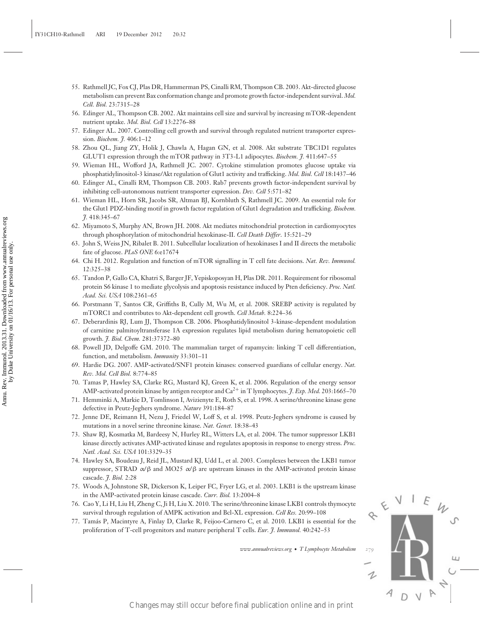- 55. Rathmell JC, Fox CJ, Plas DR, Hammerman PS, Cinalli RM, Thompson CB. 2003. Akt-directed glucose metabolism can prevent Bax conformation change and promote growth factor-independent survival. *Mol. Cell. Biol.* 23:7315–28
- 56. Edinger AL, Thompson CB. 2002. Akt maintains cell size and survival by increasing mTOR-dependent nutrient uptake. *Mol. Biol. Cell* 13:2276–88
- 57. Edinger AL. 2007. Controlling cell growth and survival through regulated nutrient transporter expression. *Biochem. J.* 406:1–12
- 58. Zhou QL, Jiang ZY, Holik J, Chawla A, Hagan GN, et al. 2008. Akt substrate TBC1D1 regulates GLUT1 expression through the mTOR pathway in 3T3-L1 adipocytes. *Biochem. J.* 411:647–55
- 59. Wieman HL, Wofford JA, Rathmell JC. 2007. Cytokine stimulation promotes glucose uptake via phosphatidylinositol-3 kinase/Akt regulation of Glut1 activity and trafficking. *Mol. Biol. Cell* 18:1437–46
- 60. Edinger AL, Cinalli RM, Thompson CB. 2003. Rab7 prevents growth factor-independent survival by inhibiting cell-autonomous nutrient transporter expression. *Dev. Cell* 5:571–82
- 61. Wieman HL, Horn SR, Jacobs SR, Altman BJ, Kornbluth S, Rathmell JC. 2009. An essential role for the Glut1 PDZ-binding motif in growth factor regulation of Glut1 degradation and trafficking. *Biochem. J.* 418:345–67
- 62. Miyamoto S, Murphy AN, Brown JH. 2008. Akt mediates mitochondrial protection in cardiomyocytes through phosphorylation of mitochondrial hexokinase-II. *Cell Death Differ*. 15:521–29
- 63. John S, Weiss JN, Ribalet B. 2011. Subcellular localization of hexokinases I and II directs the metabolic fate of glucose. *PLoS ONE* 6:e17674
- 64. Chi H. 2012. Regulation and function of mTOR signalling in T cell fate decisions. *Nat. Rev. Immunol.* 12:325–38
- 65. Tandon P, Gallo CA, Khatri S, Barger JF, Yepiskoposyan H, Plas DR. 2011. Requirement for ribosomal protein S6 kinase 1 to mediate glycolysis and apoptosis resistance induced by Pten deficiency. *Proc. Natl. Acad. Sci. USA* 108:2361–65
- 66. Porstmann T, Santos CR, Griffiths B, Cully M, Wu M, et al. 2008. SREBP activity is regulated by mTORC1 and contributes to Akt-dependent cell growth. *Cell Metab.* 8:224–36
- 67. Deberardinis RJ, Lum JJ, Thompson CB. 2006. Phosphatidylinositol 3-kinase-dependent modulation of carnitine palmitoyltransferase 1A expression regulates lipid metabolism during hematopoietic cell growth. *J. Biol. Chem.* 281:37372–80 Changes may still occur before final publication online and in principal publication of the still of the still of the still of the still of the still of the still of the still of the still of the still of the still of the
	- 68. Powell JD, Delgoffe GM. 2010. The mammalian target of rapamycin: linking T cell differentiation, function, and metabolism. *Immunity* 33:301–11
	- 69. Hardie DG. 2007. AMP-activated/SNF1 protein kinases: conserved guardians of cellular energy. *Nat. Rev. Mol. Cell Biol.* 8:774–85
	- 70. Tamas P, Hawley SA, Clarke RG, Mustard KJ, Green K, et al. 2006. Regulation of the energy sensor AMP-activated protein kinase by antigen receptor and  $Ca^{2+}$  in T lymphocytes. *J. Exp. Med.* 203:1665–70
	- 71. Hemminki A, Markie D, Tomlinson I, Avizienyte E, Roth S, et al. 1998. A serine/threonine kinase gene defective in Peutz-Jeghers syndrome. *Nature* 391:184–87
	- 72. Jenne DE, Reimann H, Nezu J, Friedel W, Loff S, et al. 1998. Peutz-Jeghers syndrome is caused by mutations in a novel serine threonine kinase. *Nat. Genet.* 18:38–43
	- 73. Shaw RJ, Kosmatka M, Bardeesy N, Hurley RL, Witters LA, et al. 2004. The tumor suppressor LKB1 kinase directly activates AMP-activated kinase and regulates apoptosis in response to energy stress. *Proc. Natl. Acad. Sci. USA* 101:3329–35
	- 74. Hawley SA, Boudeau J, Reid JL, Mustard KJ, Udd L, et al. 2003. Complexes between the LKB1 tumor suppressor, STRAD  $\alpha/\beta$  and MO25  $\alpha/\beta$  are upstream kinases in the AMP-activated protein kinase cascade. *J. Biol.* 2:28
	- 75. Woods A, Johnstone SR, Dickerson K, Leiper FC, Fryer LG, et al. 2003. LKB1 is the upstream kinase in the AMP-activated protein kinase cascade. *Curr. Biol.* 13:2004–8
	- 76. Cao Y, Li H, Liu H, Zheng C, Ji H, Liu X. 2010. The serine/threonine kinase LKB1 controls thymocyte survival through regulation of AMPK activation and Bcl-XL expression. *Cell Res.* 20:99–108
	- 77. Tamas P, Macintyre A, Finlay D, Clarke R, Feijoo-Carnero C, et al. 2010. LKB1 is essential for the ´ proliferation of T-cell progenitors and mature peripheral T cells. *Eur. J. Immunol.* 40:242–53

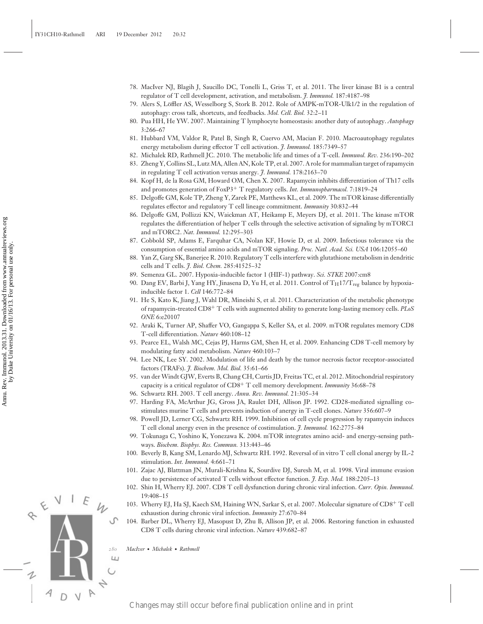- 78. MacIver NJ, Blagih J, Saucillo DC, Tonelli L, Griss T, et al. 2011. The liver kinase B1 is a central regulator of T cell development, activation, and metabolism. *J. Immunol.* 187:4187–98
- 79. Alers S, Loffler AS, Wesselborg S, Stork B. 2012. Role of AMPK-mTOR-Ulk1/2 in the regulation of ¨ autophagy: cross talk, shortcuts, and feedbacks. *Mol. Cell. Biol.* 32:2–11
- 80. Pua HH, He YW. 2007. Maintaining T lymphocyte homeostasis: another duty of autophagy. *Autophagy* 3:266–67
- 81. Hubbard VM, Valdor R, Patel B, Singh R, Cuervo AM, Macian F. 2010. Macroautophagy regulates energy metabolism during effector T cell activation. *J. Immunol.* 185:7349–57
- 82. Michalek RD, Rathmell JC. 2010. The metabolic life and times of a T-cell. *Immunol. Rev.* 236:190–202
- 83. Zheng Y, Collins SL, Lutz MA, Allen AN, Kole TP, et al. 2007. A role for mammalian target of rapamycin in regulating T cell activation versus anergy. *J. Immunol.* 178:2163–70
- 84. Kopf H, de la Rosa GM, Howard OM, Chen X. 2007. Rapamycin inhibits differentiation of Th17 cells and promotes generation of FoxP3+ T regulatory cells. *Int. Immunopharmacol.* 7:1819–24
- 85. Delgoffe GM, Kole TP, Zheng Y, Zarek PE, Matthews KL, et al. 2009. The mTOR kinase differentially regulates effector and regulatory T cell lineage commitment. *Immunity* 30:832–44
- 86. Delgoffe GM, Pollizzi KN, Waickman AT, Heikamp E, Meyers DJ, et al. 2011. The kinase mTOR regulates the differentiation of helper T cells through the selective activation of signaling by mTORC1 and mTORC2. *Nat. Immunol.* 12:295–303
- 87. Cobbold SP, Adams E, Farquhar CA, Nolan KF, Howie D, et al. 2009. Infectious tolerance via the consumption of essential amino acids and mTOR signaling. *Proc. Natl. Acad. Sci. USA* 106:12055–60
- 88. Yan Z, Garg SK, Banerjee R. 2010. Regulatory T cells interfere with glutathione metabolism in dendritic cells and T cells. *J. Biol. Chem.* 285:41525–32
- 89. Semenza GL. 2007. Hypoxia-inducible factor 1 (HIF-1) pathway. *Sci. STKE* 2007:cm8
- 90. Dang EV, Barbi J, Yang HY, Jinasena D, Yu H, et al. 2011. Control of TH17/Treg balance by hypoxiainducible factor 1. *Cell* 146:772–84
- 91. He S, Kato K, Jiang J, Wahl DR, Mineishi S, et al. 2011. Characterization of the metabolic phenotype of rapamycin-treated CD8+ T cells with augmented ability to generate long-lasting memory cells. *PLoS ONE* 6:e20107 Equivalent model and the still of the state of  $\alpha$  and  $\alpha$  and  $\alpha$  and  $\alpha$  and  $\alpha$  and  $\alpha$  and  $\alpha$  and  $\alpha$  and  $\alpha$  and  $\alpha$  and  $\alpha$  and  $\alpha$  and  $\alpha$  and  $\alpha$  and  $\alpha$  and  $\alpha$  and  $\alpha$  and  $\alpha$  and  $\alpha$  and  $\alpha$ 
	- 92. Araki K, Turner AP, Shaffer VO, Gangappa S, Keller SA, et al. 2009. mTOR regulates memory CD8 T-cell differentiation. *Nature* 460:108–12
	- 93. Pearce EL, Walsh MC, Cejas PJ, Harms GM, Shen H, et al. 2009. Enhancing CD8 T-cell memory by modulating fatty acid metabolism. *Nature* 460:103–7
	- 94. Lee NK, Lee SY. 2002. Modulation of life and death by the tumor necrosis factor receptor-associated factors (TRAFs). *J. Biochem. Mol. Biol.* 35:61–66
	- 95. van der Windt GJW, Everts B, Chang CH, Curtis JD, Freitas TC, et al. 2012. Mitochondrial respiratory capacity is a critical regulator of CD8+ T cell memory development. *Immunity* 36:68–78
	- 96. Schwartz RH. 2003. T cell anergy. *Annu. Rev. Immunol.* 21:305–34
	- 97. Harding FA, McArthur JG, Gross JA, Raulet DH, Allison JP. 1992. CD28-mediated signalling costimulates murine T cells and prevents induction of anergy in T-cell clones. *Nature* 356:607–9
	- 98. Powell JD, Lerner CG, Schwartz RH. 1999. Inhibition of cell cycle progression by rapamycin induces T cell clonal anergy even in the presence of costimulation. *J. Immunol.* 162:2775–84
	- 99. Tokunaga C, Yoshino K, Yonezawa K. 2004. mTOR integrates amino acid- and energy-sensing pathways. *Biochem. Biophys. Res. Commun.* 313:443–46
	- 100. Beverly B, Kang SM, Lenardo MJ, Schwartz RH. 1992. Reversal of in vitro T cell clonal anergy by IL-2 stimulation. *Int. Immunol.* 4:661–71
	- 101. Zajac AJ, Blattman JN, Murali-Krishna K, Sourdive DJ, Suresh M, et al. 1998. Viral immune evasion due to persistence of activated T cells without effector function. *J. Exp. Med.* 188:2205–13
	- 102. Shin H, Wherry EJ. 2007. CD8 T cell dysfunction during chronic viral infection. *Curr. Opin. Immunol.* 19:408–15
	- 103. Wherry EJ, Ha SJ, Kaech SM, Haining WN, Sarkar S, et al. 2007. Molecular signature of CD8+ T cell exhaustion during chronic viral infection. *Immunity* 27:670–84
	- 104. Barber DL, Wherry EJ, Masopust D, Zhu B, Allison JP, et al. 2006. Restoring function in exhausted CD8 T cells during chronic viral infection. *Nature* 439:682–87

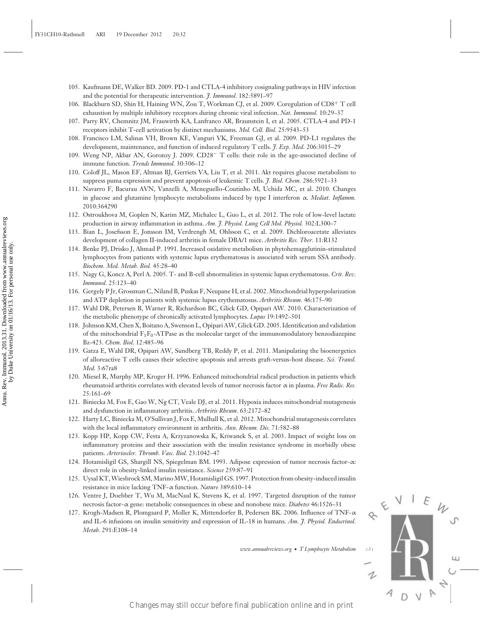- 105. Kaufmann DE, Walker BD. 2009. PD-1 and CTLA-4 inhibitory cosignaling pathways in HIV infection and the potential for therapeutic intervention. *J. Immunol.* 182:5891–97
- 106. Blackburn SD, Shin H, Haining WN, Zou T, Workman CJ, et al. 2009. Coregulation of CD8+ T cell exhaustion by multiple inhibitory receptors during chronic viral infection. *Nat. Immunol.* 10:29–37
- 107. Parry RV, Chemnitz JM, Frauwirth KA, Lanfranco AR, Braunstein I, et al. 2005. CTLA-4 and PD-1 receptors inhibit T-cell activation by distinct mechanisms. *Mol. Cell. Biol.* 25:9543–53
- 108. Francisco LM, Salinas VH, Brown KE, Vanguri VK, Freeman GJ, et al. 2009. PD-L1 regulates the development, maintenance, and function of induced regulatory T cells. *J. Exp. Med.* 206:3015–29
- 109. Weng NP, Akbar AN, Goronzy J. 2009. CD28− T cells: their role in the age-associated decline of immune function. *Trends Immunol.* 30:306–12
- 110. Coloff JL, Mason EF, Altman BJ, Gerriets VA, Liu T, et al. 2011. Akt requires glucose metabolism to suppress puma expression and prevent apoptosis of leukemic T cells. *J. Biol. Chem.* 286:5921–33
- 111. Navarro F, Bacurau AVN, Vanzelli A, Meneguello-Coutinho M, Uchida MC, et al. 2010. Changes in glucose and glutamine lymphocyte metabolisms induced by type I interferon α. *Mediat. Inflamm.* 2010:364290
- 112. Ostroukhova M, Goplen N, Karim MZ, Michalec L, Guo L, et al. 2012. The role of low-level lactate production in airway inflammation in asthma. *Am. J. Physiol. Lung Cell Mol. Physiol.* 302:L300–7
- 113. Bian L, Josefsson E, Jonsson IM, Verdrengh M, Ohlsson C, et al. 2009. Dichloroacetate alleviates development of collagen II-induced arthritis in female DBA/1 mice. *Arthritis Res. Ther.* 11:R132
- 114. Benke PJ, Drisko J, Ahmad P. 1991. Increased oxidative metabolism in phytohemagglutinin-stimulated lymphocytes from patients with systemic lupus erythematosus is associated with serum SSA antibody. *Biochem. Med. Metab. Biol.* 45:28–40
- 115. Nagy G, Koncz A, Perl A. 2005. T- and B-cell abnormalities in systemic lupus erythematosus. *Crit. Rev. Immunol.* 25:123–40
- 116. Gergely P Jr, Grossman C, Niland B, Puskas F, Neupane H, et al. 2002. Mitochondrial hyperpolarization and ATP depletion in patients with systemic lupus erythematosus. *Arthritis Rheum.* 46:175–90
- 117. Wahl DR, Petersen B, Warner R, Richardson BC, Glick GD, Opipari AW. 2010. Characterization of the metabolic phenotype of chronically activated lymphocytes. *Lupus* 19:1492–501
- 118. Johnson KM, Chen X, Boitano A, Swenson L, Opipari AW, Glick GD. 2005. Identification and validation of the mitochondrial  $F_1F_0$ -ATPase as the molecular target of the immunomodulatory benzodiazepine Bz-423. *Chem. Biol.* 12:485–96
- 119. Gatza E, Wahl DR, Opipari AW, Sundberg TB, Reddy P, et al. 2011. Manipulating the bioenergetics of alloreactive T cells causes their selective apoptosis and arrests graft-versus-host disease. *Sci. Transl. Med.* 3:67ra8 Changes may influentiate the mean of  $\vec{P}$  Books  $\vec{P}$  Books  $\vec{P}$  Annual Publication on line and in principal publication on line and in principal publication online and influential publication online and influenti
	- 120. Miesel R, Murphy MP, Kroger H. 1996. Enhanced mitochondrial radical production in patients which rheumatoid arthritis correlates with elevated levels of tumor necrosis factor α in plasma. *Free Radic. Res.* 25:161–69
	- 121. Biniecka M, Fox E, Gao W, Ng CT, Veale DJ, et al. 2011. Hypoxia induces mitochondrial mutagenesis and dysfunction in inflammatory arthritis. *Arthritis Rheum.* 63:2172–82
	- 122. Harty LC, Biniecka M, O'Sullivan J, Fox E, Mulhall K, et al. 2012. Mitochondrial mutagenesis correlates with the local inflammatory environment in arthritis. *Ann. Rheum. Dis.* 71:582–88
	- 123. Kopp HP, Kopp CW, Festa A, Krzyzanowska K, Kriwanek S, et al. 2003. Impact of weight loss on inflammatory proteins and their association with the insulin resistance syndrome in morbidly obese patients. *Arterioscler. Thromb. Vasc. Biol.* 23:1042–47
	- 124. Hotamisligil GS, Shargill NS, Spiegelman BM. 1993. Adipose expression of tumor necrosis factor-α: direct role in obesity-linked insulin resistance. *Science* 259:87–91
	- 125. Uysal KT,Wiesbrock SM,MarinoMW, Hotamisligil GS. 1997. Protection from obesity-induced insulin resistance in mice lacking TNF-α function. *Nature* 389:610–14
	- 126. Ventre J, Doebber T, Wu M, MacNaul K, Stevens K, et al. 1997. Targeted disruption of the tumor necrosis factor-α gene: metabolic consequences in obese and nonobese mice. *Diabetes* 46:1526–31
	- 127. Krogh-Madsen R, Plomgaard P, Moller K, Mittendorfer B, Pedersen BK. 2006. Influence of TNF-α and IL-6 infusions on insulin sensitivity and expression of IL-18 in humans. *Am. J. Physiol. Endocrinol. Metab.* 291:E108–14

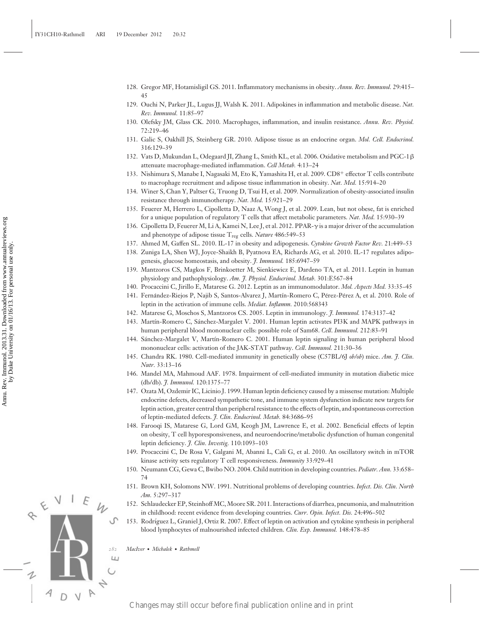- 128. Gregor MF, Hotamisligil GS. 2011. Inflammatory mechanisms in obesity. *Annu. Rev. Immunol.* 29:415– 45
- 129. Ouchi N, Parker JL, Lugus JJ, Walsh K. 2011. Adipokines in inflammation and metabolic disease. *Nat. Rev. Immunol.* 11:85–97
- 130. Olefsky JM, Glass CK. 2010. Macrophages, inflammation, and insulin resistance. *Annu. Rev. Physiol.* 72:219–46
- 131. Galic S, Oakhill JS, Steinberg GR. 2010. Adipose tissue as an endocrine organ. *Mol. Cell. Endocrinol.* 316:129–39
- 132. Vats D, Mukundan L, Odegaard JI, Zhang L, Smith KL, et al. 2006. Oxidative metabolism and PGC-1β attenuate macrophage-mediated inflammation. *Cell Metab.* 4:13–24
- 133. Nishimura S, Manabe I, Nagasaki M, Eto K, Yamashita H, et al. 2009. CD8+ effector T cells contribute to macrophage recruitment and adipose tissue inflammation in obesity. *Nat. Med.* 15:914–20
- 134. Winer S, Chan Y, Paltser G, Truong D, Tsui H, et al. 2009. Normalization of obesity-associated insulin resistance through immunotherapy. *Nat. Med.* 15:921–29
- 135. Feuerer M, Herrero L, Cipolletta D, Naaz A, Wong J, et al. 2009. Lean, but not obese, fat is enriched for a unique population of regulatory T cells that affect metabolic parameters. *Nat. Med.* 15:930–39
- 136. Cipolletta D, Feuerer M, Li A, Kamei N, Lee J, et al. 2012. PPAR-γis a major driver of the accumulation and phenotype of adipose tissue T<sub>reg</sub> cells. *Nature* 486:549-53
- 137. Ahmed M, Gaffen SL. 2010. IL-17 in obesity and adipogenesis. *Cytokine Growth Factor Rev.* 21:449–53
- 138. Zuniga LA, Shen WJ, Joyce-Shaikh B, Pyatnova EA, Richards AG, et al. 2010. IL-17 regulates adipogenesis, glucose homeostasis, and obesity. *J. Immunol.* 185:6947–59
- 139. Mantzoros CS, Magkos F, Brinkoetter M, Sienkiewicz E, Dardeno TA, et al. 2011. Leptin in human physiology and pathophysiology. *Am. J. Physiol. Endocrinol. Metab.* 301:E567–84
- 140. Procaccini C, Jirillo E, Matarese G. 2012. Leptin as an immunomodulator. *Mol. Aspects Med.* 33:35–45
- 141. Fernández-Riejos P, Najib S, Santos-Alvarez J, Martín-Romero C, Pérez-Pérez A, et al. 2010. Role of leptin in the activation of immune cells. *Mediat. Inflamm.* 2010:568343
- 142. Matarese G, Moschos S, Mantzoros CS. 2005. Leptin in immunology. *J. Immunol.* 174:3137–42
- 143. Martín-Romero C, Sánchez-Margalet V. 2001. Human leptin activates PI3K and MAPK pathways in human peripheral blood mononuclear cells: possible role of Sam68. *Cell*. *Immunol.* 212:83–91
- 144. Sánchez-Margalet V, Martín-Romero C. 2001. Human leptin signaling in human peripheral blood mononuclear cells: activation of the JAK-STAT pathway. *Cell*. *Immunol.* 211:30–36
- 145. Chandra RK. 1980. Cell-mediated immunity in genetically obese (C57BL/6J *ob/ob*) mice. *Am. J. Clin. Nutr.* 33:13–16
- 146. Mandel MA, Mahmoud AAF. 1978. Impairment of cell-mediated immunity in mutation diabetic mice (db/db). *J. Immunol.* 120:1375–77
- 147. Ozata M, Ozdemir IC, Licinio J. 1999. Human leptin deficiency caused by a missense mutation: Multiple endocrine defects, decreased sympathetic tone, and immune system dysfunction indicate new targets for leptin action, greater central than peripheral resistance to the effects of leptin, and spontaneous correction of leptin-mediated defects. *J. Clin. Endocrinol. Metab.* 84:3686–95 Changes Changes may still occur before final publication on the still of the still of the still of the still of the still of the still of the still of the still of the still of the still of the still of the still of the s
	- 148. Farooqi IS, Matarese G, Lord GM, Keogh JM, Lawrence E, et al. 2002. Beneficial effects of leptin on obesity, T cell hyporesponsiveness, and neuroendocrine/metabolic dysfunction of human congenital leptin deficiency. *J. Clin. Investig.* 110:1093–103
	- 149. Procaccini C, De Rosa V, Galgani M, Abanni L, Cali G, et al. 2010. An oscillatory switch in mTOR kinase activity sets regulatory T cell responsiveness. *Immunity* 33:929–41
	- 150. Neumann CG, Gewa C, Bwibo NO. 2004. Child nutrition in developing countries. *Pediatr. Ann.* 33:658– 74
	- 151. Brown KH, Solomons NW. 1991. Nutritional problems of developing countries. *Infect. Dis. Clin. North Am.* 5:297–317
	- 152. Schlaudecker EP, Steinhoff MC, Moore SR. 2011. Interactions of diarrhea, pneumonia, and malnutrition in childhood: recent evidence from developing countries. *Curr. Opin. Infect. Dis.* 24:496–502
	- 153. Rodríguez L, Graniel J, Ortiz R. 2007. Effect of leptin on activation and cytokine synthesis in peripheral blood lymphocytes of malnourished infected children. *Clin. Exp. Immunol.* 148:478–85